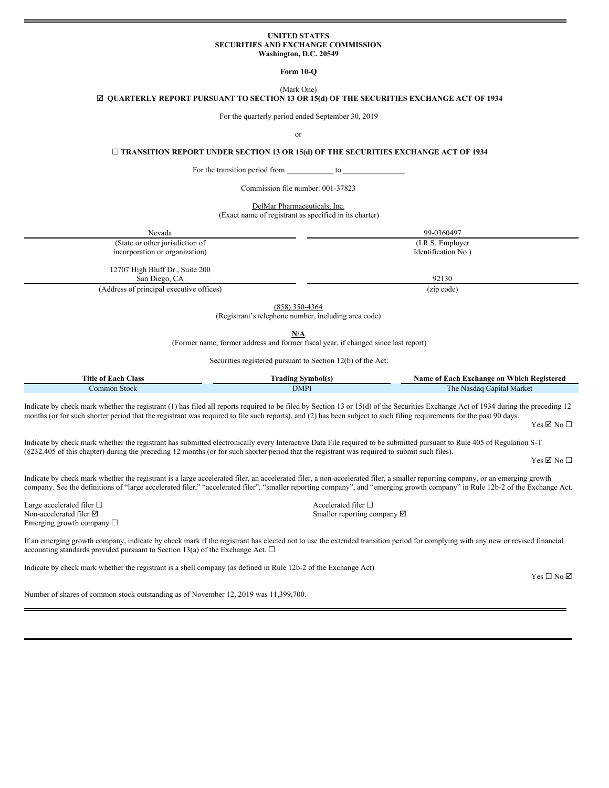#### **UNITED STATES SECURITIES AND EXCHANGE COMMISSION Washington, D.C. 20549**

**Form 10-Q**

(Mark One) þ **QUARTERLY REPORT PURSUANT TO SECTION 13 OR 15(d) OF THE SECURITIES EXCHANGE ACT OF 1934**

For the quarterly period ended September 30, 2019

or

☐ **TRANSITION REPORT UNDER SECTION 13 OR 15(d) OF THE SECURITIES EXCHANGE ACT OF 1934**

For the transition period from \_\_\_\_\_\_\_\_\_\_\_\_\_\_ to

Commission file number: 001-37823

DelMar Pharmaceuticals, Inc.

(Exact name of registrant as specified in its charter)

| Nevada                                           | 99-0360497          |
|--------------------------------------------------|---------------------|
| (State or other jurisdiction of                  | (I.R.S. Employer)   |
| incorporation or organization)                   | Identification No.) |
| 12707 High Bluff Dr., Suite 200<br>San Diego, CA | 92130               |
| (Address of principal executive offices)         | (zip code)          |

(858) 350-4364

(Registrant's telephone number, including area code)

**N/A**

(Former name, former address and former fiscal year, if changed since last report)

Securities registered pursuant to Section 12(b) of the Act:

| Title of .<br><b>Class</b><br>Each | $\sim$<br>Symbol(s<br>radıng | ⊢Registered<br>∴ach<br>V hıch<br>Name<br>. Exchange on<br>-01 |
|------------------------------------|------------------------------|---------------------------------------------------------------|
| 1 Stock<br>common                  | <b>DMPI</b>                  | Lapital Market<br>. he<br>Nasdag                              |

Indicate by check mark whether the registrant (1) has filed all reports required to be filed by Section 13 or 15(d) of the Securities Exchange Act of 1934 during the preceding 12 months (or for such shorter period that the registrant was required to file such reports), and (2) has been subject to such filing requirements for the past 90 days.

Yes Ø No □

Indicate by check mark whether the registrant has submitted electronically every Interactive Data File required to be submitted pursuant to Rule 405 of Regulation S-T (§232.405 of this chapter) during the preceding 12 months (or for such shorter period that the registrant was required to submit such files).

 $Yes \nbox{ } No \nbox{ } \square$ 

Indicate by check mark whether the registrant is a large accelerated filer, an accelerated filer, a non-accelerated filer, a smaller reporting company, or an emerging growth company. See the definitions of "large accelerated filer," "accelerated filer", "smaller reporting company", and "emerging growth company" in Rule 12b-2 of the Exchange Act.

Large accelerated filer □ and settled filer □ and settled filer □ and settled filer □ and settled filer □ and settled filer □ and settled filer □ and settled filer □ and settled filer □ and settled filer □ and settled fil Non-accelerated filer  $\boxtimes$ Emerging growth company  $\Box$ 

Smaller reporting company  $\boxtimes$ 

If an emerging growth company, indicate by check mark if the registrant has elected not to use the extended transition period for complying with any new or revised financial accounting standards provided pursuant to Section 13(a) of the Exchange Act.  $\Box$ 

Indicate by check mark whether the registrant is a shell company (as defined in Rule 12b-2 of the Exchange Act)

Yes □ No ☑

Number of shares of common stock outstanding as of November 12, 2019 was 11,399,700.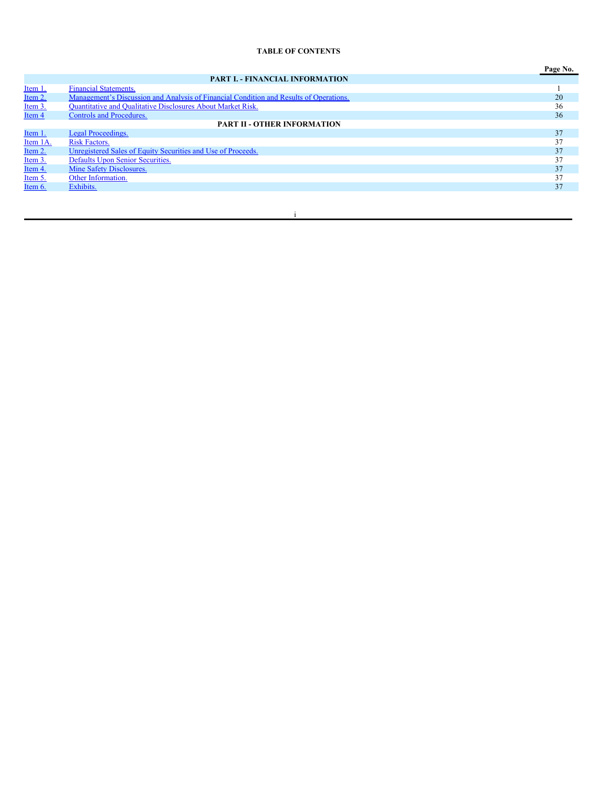# **TABLE OF CONTENTS**

|                   |                                                                                        | Page No. |
|-------------------|----------------------------------------------------------------------------------------|----------|
|                   | <b>PART I. - FINANCIAL INFORMATION</b>                                                 |          |
| Item 1            | <b>Financial Statements.</b>                                                           |          |
| Item 2.           | Management's Discussion and Analysis of Financial Condition and Results of Operations. | 20       |
| Item 3.           | <b>Quantitative and Qualitative Disclosures About Market Risk.</b>                     | 36       |
| Item <sub>4</sub> | Controls and Procedures.                                                               | 36       |
|                   | PART II - OTHER INFORMATION                                                            |          |
| Item 1.           | Legal Proceedings.                                                                     | 37       |
| Item 1A.          | <b>Risk Factors.</b>                                                                   | 37       |
| Item 2.           | Unregistered Sales of Equity Securities and Use of Proceeds.                           | 37       |
| Item 3.           | Defaults Upon Senior Securities.                                                       | 37       |
| Item 4.           | Mine Safety Disclosures.                                                               | 37       |
| Item 5.           | Other Information.                                                                     | 37       |
| Item 6.           | Exhibits.                                                                              | 37       |
|                   |                                                                                        |          |

### i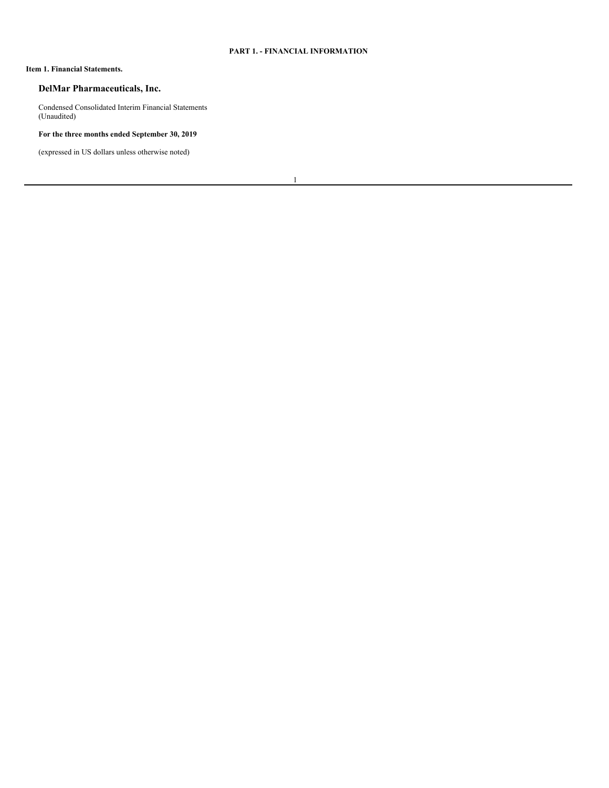## **PART 1. - FINANCIAL INFORMATION**

## <span id="page-2-0"></span>**Item 1. Financial Statements.**

# **DelMar Pharmaceuticals, Inc.**

Condensed Consolidated Interim Financial Statements (Unaudited)

# **For the three months ended September 30, 2019**

(expressed in US dollars unless otherwise noted)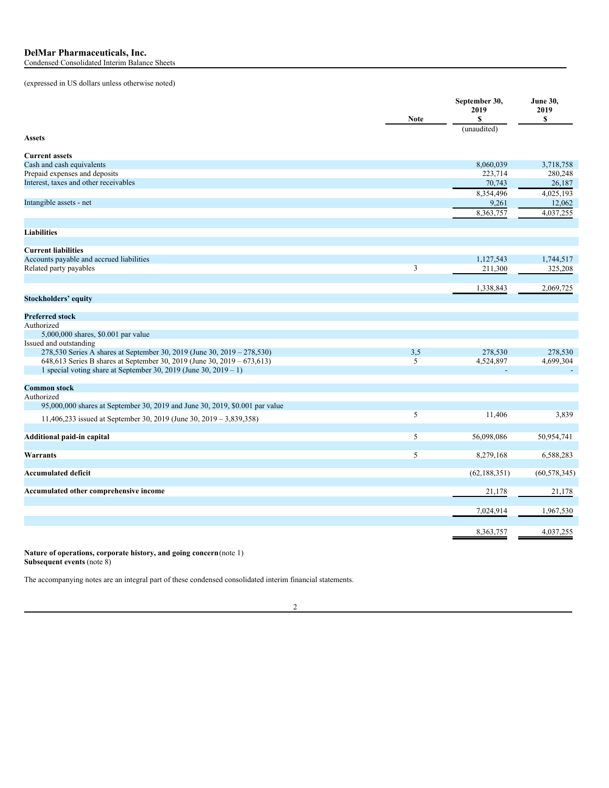|                                                                              | <b>Note</b> | September 30,<br>2019<br>S<br>(unaudited) | <b>June 30,</b><br>2019<br>S |
|------------------------------------------------------------------------------|-------------|-------------------------------------------|------------------------------|
| <b>Assets</b>                                                                |             |                                           |                              |
| <b>Current assets</b>                                                        |             |                                           |                              |
| Cash and cash equivalents                                                    |             | 8,060,039                                 | 3,718,758                    |
| Prepaid expenses and deposits                                                |             | 223,714                                   | 280,248                      |
| Interest, taxes and other receivables                                        |             | 70,743                                    | 26,187                       |
|                                                                              |             | 8,354,496                                 | 4,025,193                    |
| Intangible assets - net                                                      |             | 9,261                                     | 12,062                       |
|                                                                              |             | 8,363,757                                 | 4,037,255                    |
| <b>Liabilities</b>                                                           |             |                                           |                              |
|                                                                              |             |                                           |                              |
| <b>Current liabilities</b>                                                   |             |                                           |                              |
| Accounts payable and accrued liabilities                                     |             | 1,127,543                                 | 1,744,517                    |
| Related party payables                                                       | 3           | 211,300                                   | 325,208                      |
|                                                                              |             |                                           |                              |
|                                                                              |             | 1,338,843                                 | 2,069,725                    |
| <b>Stockholders' equity</b>                                                  |             |                                           |                              |
| <b>Preferred stock</b>                                                       |             |                                           |                              |
| Authorized                                                                   |             |                                           |                              |
| 5,000,000 shares, \$0.001 par value                                          |             |                                           |                              |
| Issued and outstanding                                                       |             |                                           |                              |
| 278,530 Series A shares at September 30, 2019 (June 30, 2019 – 278,530)      | 3,5         | 278,530                                   | 278,530                      |
| 648,613 Series B shares at September 30, 2019 (June 30, 2019 – 673,613)      | 5           | 4,524,897                                 | 4,699,304                    |
| 1 special voting share at September 30, 2019 (June 30, 2019 – 1)             |             |                                           |                              |
| <b>Common stock</b>                                                          |             |                                           |                              |
| Authorized                                                                   |             |                                           |                              |
| 95,000,000 shares at September 30, 2019 and June 30, 2019, \$0.001 par value |             |                                           |                              |
| 11,406,233 issued at September 30, 2019 (June 30, 2019 - 3,839,358)          | 5           | 11,406                                    | 3,839                        |
| Additional paid-in capital                                                   | 5           | 56,098,086                                | 50,954,741                   |
|                                                                              |             |                                           |                              |
| Warrants                                                                     | 5           | 8,279,168                                 | 6,588,283                    |
| <b>Accumulated deficit</b>                                                   |             | (62, 188, 351)                            | (60, 578, 345)               |
| Accumulated other comprehensive income                                       |             | 21,178                                    | 21,178                       |
|                                                                              |             |                                           |                              |
|                                                                              |             | 7,024,914                                 | 1,967,530                    |
|                                                                              |             | 8,363,757                                 | 4,037,255                    |

**Nature of operations, corporate history, and going concern**(note 1) **Subsequent events** (note 8)

The accompanying notes are an integral part of these condensed consolidated interim financial statements.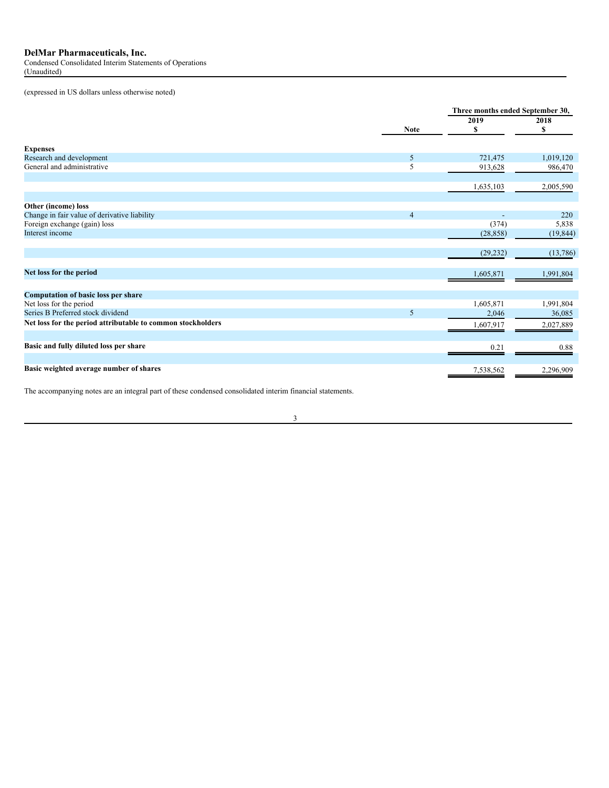Condensed Consolidated Interim Statements of Operations (Unaudited)

(expressed in US dollars unless otherwise noted)

|                                                             |                | Three months ended September 30, |           |
|-------------------------------------------------------------|----------------|----------------------------------|-----------|
|                                                             |                | 2019                             | 2018      |
|                                                             | <b>Note</b>    | S                                | S         |
| <b>Expenses</b>                                             |                |                                  |           |
| Research and development                                    | 5              | 721,475                          | 1,019,120 |
| General and administrative                                  | 5              | 913,628                          | 986,470   |
|                                                             |                | 1,635,103                        | 2,005,590 |
| Other (income) loss                                         |                |                                  |           |
| Change in fair value of derivative liability                | $\overline{4}$ |                                  | 220       |
| Foreign exchange (gain) loss                                |                | (374)                            | 5,838     |
| Interest income                                             |                | (28, 858)                        | (19, 844) |
|                                                             |                | (29, 232)                        | (13,786)  |
| Net loss for the period                                     |                | 1,605,871                        | 1,991,804 |
| Computation of basic loss per share                         |                |                                  |           |
| Net loss for the period                                     |                | 1,605,871                        | 1,991,804 |
| Series B Preferred stock dividend                           | 5              | 2,046                            | 36,085    |
| Net loss for the period attributable to common stockholders |                | 1,607,917                        | 2,027,889 |
|                                                             |                |                                  |           |
| Basic and fully diluted loss per share                      |                | 0.21                             | 0.88      |
| Basic weighted average number of shares                     |                | 7,538,562                        | 2,296,909 |
|                                                             |                |                                  |           |

The accompanying notes are an integral part of these condensed consolidated interim financial statements.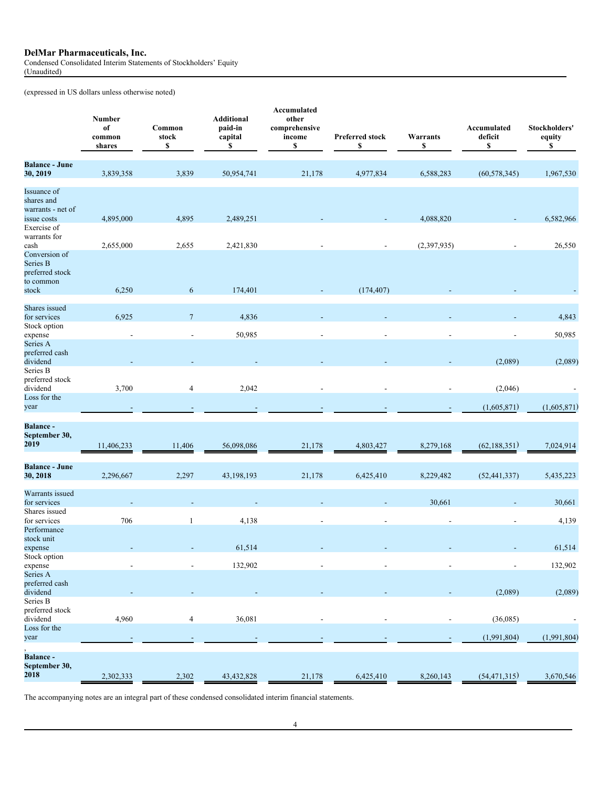Condensed Consolidated Interim Statements of Stockholders' Equity (Unaudited)

(expressed in US dollars unless otherwise noted)

|                                                           | Number<br>of<br>common<br>shares | Common<br>stock<br>\$ | <b>Additional</b><br>paid-in<br>capital<br>S | Accumulated<br>other<br>comprehensive<br>income<br>\$ | <b>Preferred stock</b><br>\$ | Warrants<br>S | Accumulated<br>deficit<br>\$ | Stockholders'<br>equity<br>\$ |
|-----------------------------------------------------------|----------------------------------|-----------------------|----------------------------------------------|-------------------------------------------------------|------------------------------|---------------|------------------------------|-------------------------------|
| <b>Balance - June</b><br>30, 2019                         | 3,839,358                        | 3,839                 | 50,954,741                                   | 21,178                                                | 4,977,834                    | 6,588,283     | (60, 578, 345)               | 1,967,530                     |
| Issuance of<br>shares and<br>warrants - net of            |                                  |                       |                                              |                                                       |                              |               |                              |                               |
| issue costs<br>Exercise of                                | 4,895,000                        | 4,895                 | 2,489,251                                    |                                                       |                              | 4,088,820     |                              | 6,582,966                     |
| warrants for<br>cash                                      | 2,655,000                        | 2,655                 | 2,421,830                                    |                                                       |                              | (2,397,935)   |                              | 26,550                        |
| Conversion of<br>Series B<br>preferred stock<br>to common |                                  |                       |                                              |                                                       |                              |               |                              |                               |
| stock                                                     | 6,250                            | 6                     | 174,401                                      |                                                       | (174, 407)                   |               |                              |                               |
| Shares issued<br>for services                             | 6,925                            | $\overline{7}$        | 4,836                                        |                                                       |                              |               |                              | 4,843                         |
| Stock option<br>expense                                   | $\overline{\phantom{a}}$         | $\overline{a}$        | 50,985                                       |                                                       |                              |               |                              | 50,985                        |
| Series A<br>preferred cash<br>dividend                    |                                  |                       |                                              |                                                       |                              |               | (2,089)                      | (2,089)                       |
| Series B<br>preferred stock<br>dividend<br>Loss for the   | 3,700                            | $\overline{4}$        | 2,042                                        |                                                       |                              |               | (2,046)                      |                               |
| year                                                      |                                  |                       |                                              |                                                       |                              |               | (1,605,871)                  | (1,605,871)                   |
| <b>Balance -</b><br>September 30,<br>2019                 | 11,406,233                       | 11,406                | 56,098,086                                   | 21,178                                                | 4,803,427                    | 8,279,168     | (62, 188, 351)               | 7,024,914                     |
| <b>Balance - June</b><br>30, 2018                         | 2,296,667                        | 2,297                 | 43,198,193                                   | 21,178                                                | 6,425,410                    | 8,229,482     | (52, 441, 337)               | 5,435,223                     |
| Warrants issued<br>for services                           |                                  |                       |                                              |                                                       |                              | 30,661        |                              | 30,661                        |
| Shares issued<br>for services<br>Performance              | 706                              | $\mathbf{1}$          | 4,138                                        |                                                       |                              |               |                              | 4,139                         |
| stock unit<br>expense                                     |                                  |                       | 61,514                                       |                                                       |                              |               |                              | 61,514                        |
| Stock option<br>expense                                   |                                  |                       | 132,902                                      |                                                       |                              |               |                              | 132,902                       |
| Series A<br>preferred cash<br>dividend<br>Series B        |                                  |                       |                                              |                                                       |                              |               | (2,089)                      | (2,089)                       |
| preferred stock<br>dividend                               | 4,960                            | $\overline{4}$        | 36,081                                       |                                                       | L,                           |               | (36,085)                     |                               |
| Loss for the<br>year                                      |                                  |                       |                                              |                                                       |                              |               | (1,991,804)                  | (1,991,804)                   |
| Balance -<br>September 30,<br>2018                        | 2,302,333                        | 2,302                 | 43,432,828                                   | 21,178                                                | 6,425,410                    | 8,260,143     | (54, 471, 315)               | 3,670,546                     |

The accompanying notes are an integral part of these condensed consolidated interim financial statements.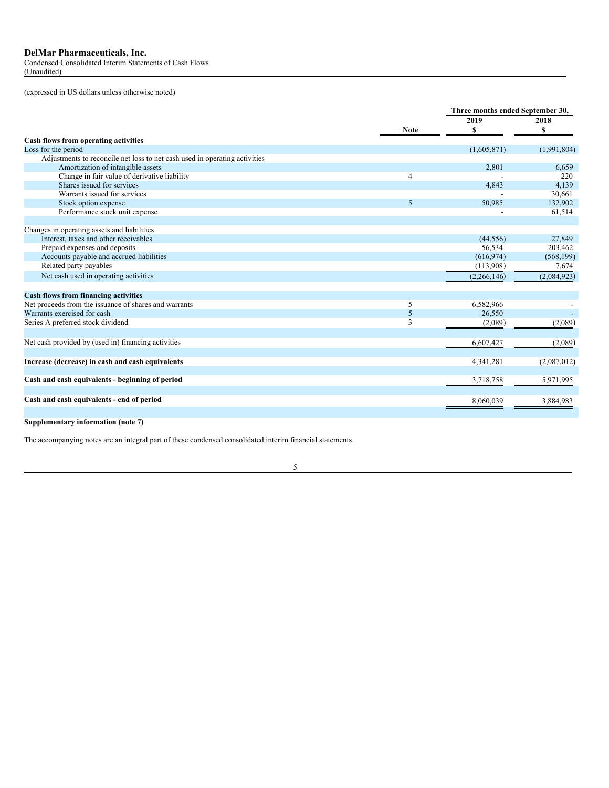Condensed Consolidated Interim Statements of Cash Flows (Unaudited)

(expressed in US dollars unless otherwise noted)

|                                                                                      | Three months ended September 30, |               |             |
|--------------------------------------------------------------------------------------|----------------------------------|---------------|-------------|
|                                                                                      |                                  | 2019          | 2018        |
|                                                                                      | <b>Note</b>                      | \$            | S           |
| Cash flows from operating activities                                                 |                                  |               |             |
| Loss for the period                                                                  |                                  | (1,605,871)   | (1,991,804) |
| Adjustments to reconcile net loss to net cash used in operating activities           |                                  |               |             |
| Amortization of intangible assets                                                    |                                  | 2,801         | 6,659       |
| Change in fair value of derivative liability                                         | 4                                |               | 220         |
| Shares issued for services                                                           |                                  | 4.843         | 4,139       |
| Warrants issued for services                                                         |                                  |               | 30,661      |
| Stock option expense                                                                 | 5                                | 50,985        | 132,902     |
| Performance stock unit expense                                                       |                                  |               | 61,514      |
|                                                                                      |                                  |               |             |
| Changes in operating assets and liabilities                                          |                                  |               |             |
| Interest, taxes and other receivables                                                |                                  | (44, 556)     | 27,849      |
| Prepaid expenses and deposits                                                        |                                  | 56,534        | 203,462     |
| Accounts payable and accrued liabilities                                             |                                  | (616,974)     | (568, 199)  |
| Related party payables                                                               |                                  | (113,908)     | 7,674       |
| Net cash used in operating activities                                                |                                  | (2, 266, 146) | (2,084,923) |
|                                                                                      |                                  |               |             |
| <b>Cash flows from financing activities</b>                                          |                                  |               |             |
| Net proceeds from the issuance of shares and warrants<br>Warrants exercised for cash | 5                                | 6,582,966     |             |
|                                                                                      | 5<br>3                           | 26,550        |             |
| Series A preferred stock dividend                                                    |                                  | (2,089)       | (2,089)     |
| Net cash provided by (used in) financing activities                                  |                                  | 6,607,427     | (2,089)     |
| Increase (decrease) in cash and cash equivalents                                     |                                  | 4,341,281     | (2,087,012) |
| Cash and cash equivalents - beginning of period                                      |                                  | 3,718,758     | 5,971,995   |
| Cash and cash equivalents - end of period                                            |                                  | 8,060,039     | 3.884.983   |
|                                                                                      |                                  |               |             |

**Supplementary information (note 7)**

The accompanying notes are an integral part of these condensed consolidated interim financial statements.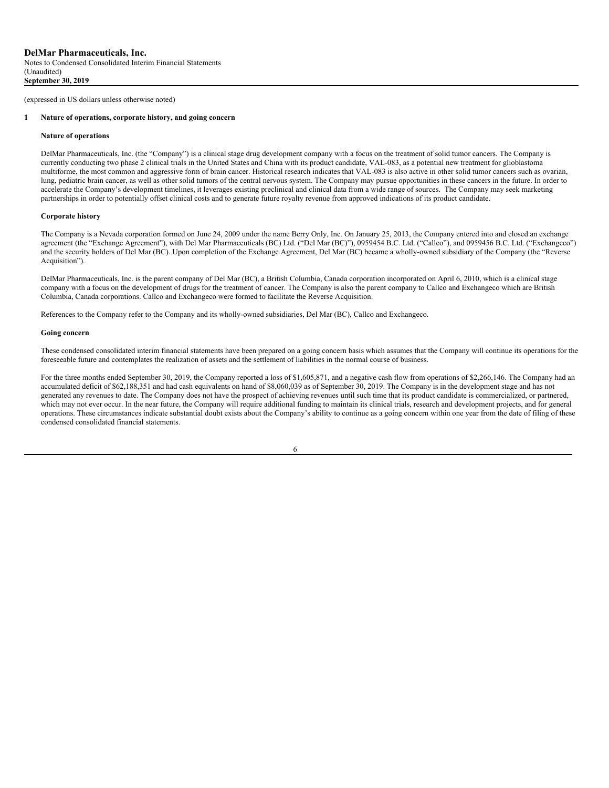#### **1 Nature of operations, corporate history, and going concern**

## **Nature of operations**

DelMar Pharmaceuticals, Inc. (the "Company") is a clinical stage drug development company with a focus on the treatment of solid tumor cancers. The Company is currently conducting two phase 2 clinical trials in the United States and China with its product candidate, VAL-083, as a potential new treatment for glioblastoma multiforme, the most common and aggressive form of brain cancer. Historical research indicates that VAL-083 is also active in other solid tumor cancers such as ovarian, lung, pediatric brain cancer, as well as other solid tumors of the central nervous system. The Company may pursue opportunities in these cancers in the future. In order to accelerate the Company's development timelines, it leverages existing preclinical and clinical data from a wide range of sources. The Company may seek marketing partnerships in order to potentially offset clinical costs and to generate future royalty revenue from approved indications of its product candidate.

## **Corporate history**

The Company is a Nevada corporation formed on June 24, 2009 under the name Berry Only, Inc. On January 25, 2013, the Company entered into and closed an exchange agreement (the "Exchange Agreement"), with Del Mar Pharmaceuticals (BC) Ltd. ("Del Mar (BC)"), 0959454 B.C. Ltd. ("Callco"), and 0959456 B.C. Ltd. ("Exchangeco") and the security holders of Del Mar (BC). Upon completion of the Exchange Agreement, Del Mar (BC) became a wholly-owned subsidiary of the Company (the "Reverse Acquisition").

DelMar Pharmaceuticals, Inc. is the parent company of Del Mar (BC), a British Columbia, Canada corporation incorporated on April 6, 2010, which is a clinical stage company with a focus on the development of drugs for the treatment of cancer. The Company is also the parent company to Callco and Exchangeco which are British Columbia, Canada corporations. Callco and Exchangeco were formed to facilitate the Reverse Acquisition.

References to the Company refer to the Company and its wholly-owned subsidiaries, Del Mar (BC), Callco and Exchangeco.

#### **Going concern**

These condensed consolidated interim financial statements have been prepared on a going concern basis which assumes that the Company will continue its operations for the foreseeable future and contemplates the realization of assets and the settlement of liabilities in the normal course of business.

For the three months ended September 30, 2019, the Company reported a loss of \$1,605,871, and a negative cash flow from operations of \$2,266,146. The Company had an accumulated deficit of \$62,188,351 and had cash equivalents on hand of \$8,060,039 as of September 30, 2019. The Company is in the development stage and has not generated any revenues to date. The Company does not have the prospect of achieving revenues until such time that its product candidate is commercialized, or partnered, which may not ever occur. In the near future, the Company will require additional funding to maintain its clinical trials, research and development projects, and for general operations. These circumstances indicate substantial doubt exists about the Company's ability to continue as a going concern within one year from the date of filing of these condensed consolidated financial statements.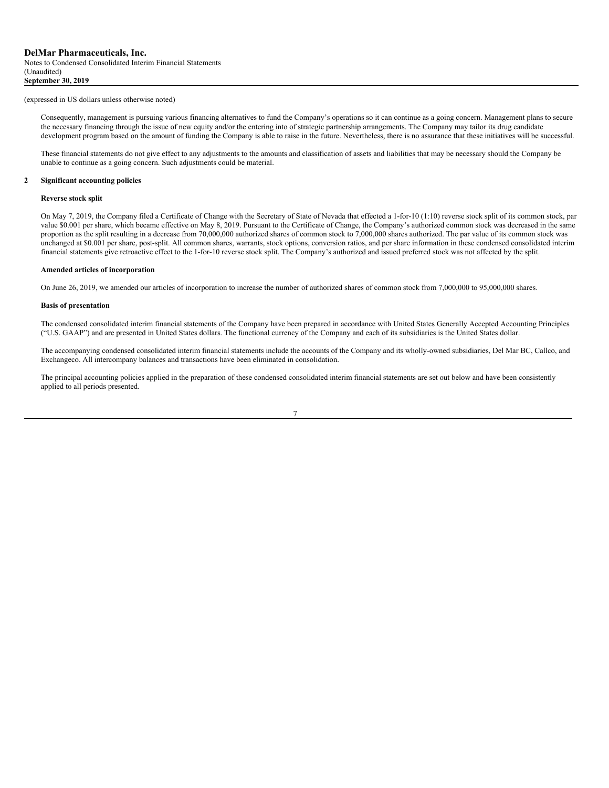Consequently, management is pursuing various financing alternatives to fund the Company's operations so it can continue as a going concern. Management plans to secure the necessary financing through the issue of new equity and/or the entering into of strategic partnership arrangements. The Company may tailor its drug candidate development program based on the amount of funding the Company is able to raise in the future. Nevertheless, there is no assurance that these initiatives will be successful.

These financial statements do not give effect to any adjustments to the amounts and classification of assets and liabilities that may be necessary should the Company be unable to continue as a going concern. Such adjustments could be material.

### **2 Significant accounting policies**

#### **Reverse stock split**

On May 7, 2019, the Company filed a Certificate of Change with the Secretary of State of Nevada that effected a 1-for-10 (1:10) reverse stock split of its common stock, par value \$0.001 per share, which became effective on May 8, 2019. Pursuant to the Certificate of Change, the Company's authorized common stock was decreased in the same proportion as the split resulting in a decrease from 70,000,000 authorized shares of common stock to 7,000,000 shares authorized. The par value of its common stock was unchanged at \$0.001 per share, post-split. All common shares, warrants, stock options, conversion ratios, and per share information in these condensed consolidated interim financial statements give retroactive effect to the 1-for-10 reverse stock split. The Company's authorized and issued preferred stock was not affected by the split.

#### **Amended articles of incorporation**

On June 26, 2019, we amended our articles of incorporation to increase the number of authorized shares of common stock from 7,000,000 to 95,000,000 shares.

#### **Basis of presentation**

The condensed consolidated interim financial statements of the Company have been prepared in accordance with United States Generally Accepted Accounting Principles ("U.S. GAAP") and are presented in United States dollars. The functional currency of the Company and each of its subsidiaries is the United States dollar.

The accompanying condensed consolidated interim financial statements include the accounts of the Company and its wholly-owned subsidiaries, Del Mar BC, Callco, and Exchangeco. All intercompany balances and transactions have been eliminated in consolidation.

The principal accounting policies applied in the preparation of these condensed consolidated interim financial statements are set out below and have been consistently applied to all periods presented.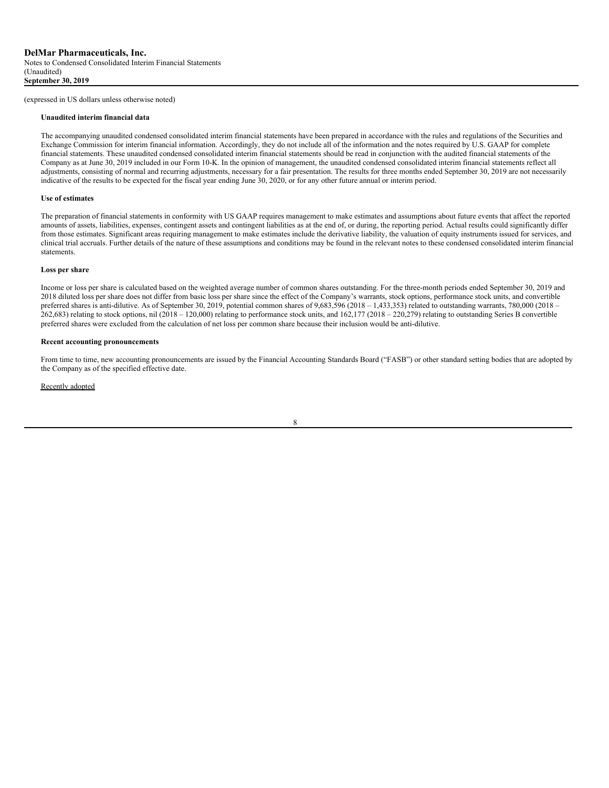#### **Unaudited interim financial data**

The accompanying unaudited condensed consolidated interim financial statements have been prepared in accordance with the rules and regulations of the Securities and Exchange Commission for interim financial information. Accordingly, they do not include all of the information and the notes required by U.S. GAAP for complete financial statements. These unaudited condensed consolidated interim financial statements should be read in conjunction with the audited financial statements of the Company as at June 30, 2019 included in our Form 10-K. In the opinion of management, the unaudited condensed consolidated interim financial statements reflect all adjustments, consisting of normal and recurring adjustments, necessary for a fair presentation. The results for three months ended September 30, 2019 are not necessarily indicative of the results to be expected for the fiscal year ending June 30, 2020, or for any other future annual or interim period.

#### **Use of estimates**

The preparation of financial statements in conformity with US GAAP requires management to make estimates and assumptions about future events that affect the reported amounts of assets, liabilities, expenses, contingent assets and contingent liabilities as at the end of, or during, the reporting period. Actual results could significantly differ from those estimates. Significant areas requiring management to make estimates include the derivative liability, the valuation of equity instruments issued for services, and clinical trial accruals. Further details of the nature of these assumptions and conditions may be found in the relevant notes to these condensed consolidated interim financial statements.

#### **Loss per share**

Income or loss per share is calculated based on the weighted average number of common shares outstanding. For the three-month periods ended September 30, 2019 and 2018 diluted loss per share does not differ from basic loss per share since the effect of the Company's warrants, stock options, performance stock units, and convertible preferred shares is anti-dilutive. As of September 30, 2019, potential common shares of 9,683,596 (2018 – 1,433,353) related to outstanding warrants, 780,000 (2018 – 262,683) relating to stock options, nil (2018 – 120,000) relating to performance stock units, and 162,177 (2018 – 220,279) relating to outstanding Series B convertible preferred shares were excluded from the calculation of net loss per common share because their inclusion would be anti-dilutive.

#### **Recent accounting pronouncements**

From time to time, new accounting pronouncements are issued by the Financial Accounting Standards Board ("FASB") or other standard setting bodies that are adopted by the Company as of the specified effective date.

8

#### Recently adopted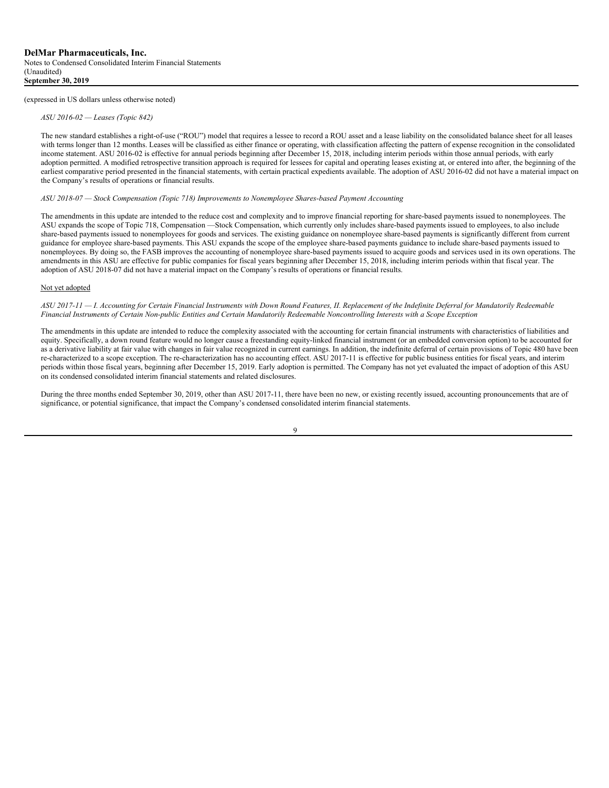#### *ASU 2016-02 — Leases (Topic 842)*

The new standard establishes a right-of-use ("ROU") model that requires a lessee to record a ROU asset and a lease liability on the consolidated balance sheet for all leases with terms longer than 12 months. Leases will be classified as either finance or operating, with classification affecting the pattern of expense recognition in the consolidated income statement. ASU 2016-02 is effective for annual periods beginning after December 15, 2018, including interim periods within those annual periods, with early adoption permitted. A modified retrospective transition approach is required for lessees for capital and operating leases existing at, or entered into after, the beginning of the earliest comparative period presented in the financial statements, with certain practical expedients available. The adoption of ASU 2016-02 did not have a material impact on the Company's results of operations or financial results.

### *ASU 2018-07 — Stock Compensation (Topic 718) Improvements to Nonemployee Shares-based Payment Accounting*

The amendments in this update are intended to the reduce cost and complexity and to improve financial reporting for share-based payments issued to nonemployees. The ASU expands the scope of Topic 718, Compensation —Stock Compensation, which currently only includes share-based payments issued to employees, to also include share-based payments issued to nonemployees for goods and services. The existing guidance on nonemployee share-based payments is significantly different from current guidance for employee share-based payments. This ASU expands the scope of the employee share-based payments guidance to include share-based payments issued to nonemployees. By doing so, the FASB improves the accounting of nonemployee share-based payments issued to acquire goods and services used in its own operations. The amendments in this ASU are effective for public companies for fiscal years beginning after December 15, 2018, including interim periods within that fiscal year. The adoption of ASU 2018-07 did not have a material impact on the Company's results of operations or financial results.

#### Not yet adopted

ASU 2017-11 - I. Accounting for Certain Financial Instruments with Down Round Features, II. Replacement of the Indefinite Deferral for Mandatorily Redeemable Financial Instruments of Certain Non-public Entities and Certain Mandatorily Redeemable Noncontrolling Interests with a Scope Exception

The amendments in this update are intended to reduce the complexity associated with the accounting for certain financial instruments with characteristics of liabilities and equity. Specifically, a down round feature would no longer cause a freestanding equity-linked financial instrument (or an embedded conversion option) to be accounted for as a derivative liability at fair value with changes in fair value recognized in current earnings. In addition, the indefinite deferral of certain provisions of Topic 480 have been re-characterized to a scope exception. The re-characterization has no accounting effect. ASU 2017-11 is effective for public business entities for fiscal years, and interim periods within those fiscal years, beginning after December 15, 2019. Early adoption is permitted. The Company has not yet evaluated the impact of adoption of this ASU on its condensed consolidated interim financial statements and related disclosures.

During the three months ended September 30, 2019, other than ASU 2017-11, there have been no new, or existing recently issued, accounting pronouncements that are of significance, or potential significance, that impact the Company's condensed consolidated interim financial statements.

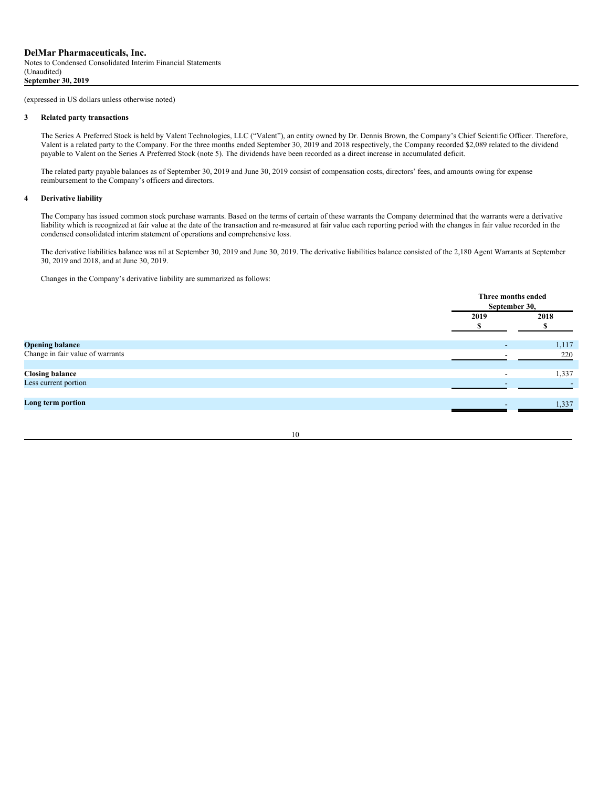### **3 Related party transactions**

The Series A Preferred Stock is held by Valent Technologies, LLC ("Valent"), an entity owned by Dr. Dennis Brown, the Company's Chief Scientific Officer. Therefore, Valent is a related party to the Company. For the three months ended September 30, 2019 and 2018 respectively, the Company recorded \$2,089 related to the dividend payable to Valent on the Series A Preferred Stock (note 5). The dividends have been recorded as a direct increase in accumulated deficit.

The related party payable balances as of September 30, 2019 and June 30, 2019 consist of compensation costs, directors' fees, and amounts owing for expense reimbursement to the Company's officers and directors.

## **4 Derivative liability**

The Company has issued common stock purchase warrants. Based on the terms of certain of these warrants the Company determined that the warrants were a derivative liability which is recognized at fair value at the date of the transaction and re-measured at fair value each reporting period with the changes in fair value recorded in the condensed consolidated interim statement of operations and comprehensive loss.

The derivative liabilities balance was nil at September 30, 2019 and June 30, 2019. The derivative liabilities balance consisted of the 2,180 Agent Warrants at September 30, 2019 and 2018, and at June 30, 2019.

Changes in the Company's derivative liability are summarized as follows:

|                                  |                          | Three months ended<br>September 30, |  |
|----------------------------------|--------------------------|-------------------------------------|--|
|                                  | 2019                     | 2018                                |  |
| <b>Opening balance</b>           | $\overline{\phantom{a}}$ | 1,117                               |  |
| Change in fair value of warrants |                          | 220                                 |  |
|                                  |                          |                                     |  |
| <b>Closing balance</b>           |                          | 1,337                               |  |
| Less current portion             |                          |                                     |  |
|                                  |                          |                                     |  |
| Long term portion                | $\overline{\phantom{a}}$ | 1,337                               |  |
|                                  |                          |                                     |  |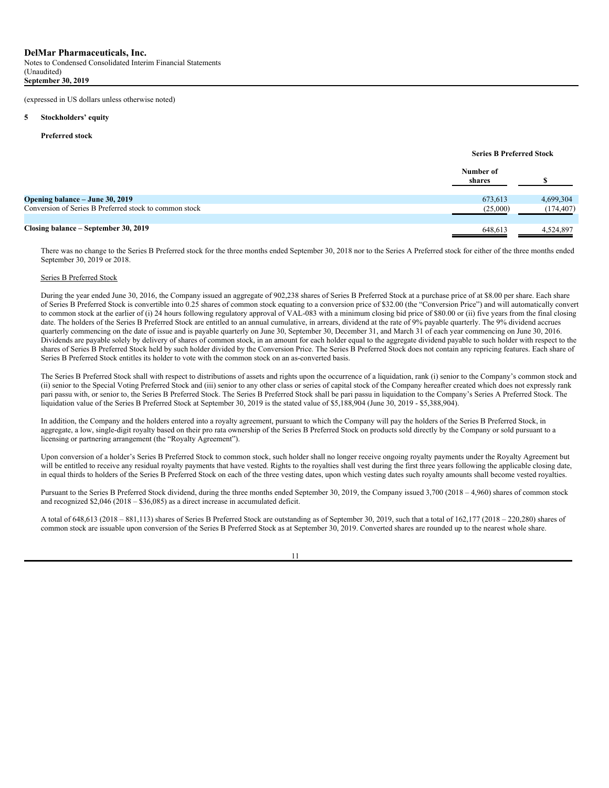Notes to Condensed Consolidated Interim Financial Statements (Unaudited) **September 30, 2019**

(expressed in US dollars unless otherwise noted)

#### **5 Stockholders' equity**

## **Preferred stock**

|                                                        |                     | Selles D'Eteleffeu Stuck |  |
|--------------------------------------------------------|---------------------|--------------------------|--|
|                                                        | Number of<br>shares |                          |  |
| Opening balance – June 30, 2019                        | 673,613             | 4,699,304                |  |
| Conversion of Series B Preferred stock to common stock | (25,000)            | (174, 407)               |  |
| Closing balance – September 30, 2019                   | 648,613             | 4,524,897                |  |

**Series B Preferred Stock**

There was no change to the Series B Preferred stock for the three months ended September 30, 2018 nor to the Series A Preferred stock for either of the three months ended September 30, 2019 or 2018.

## Series B Preferred Stock

During the year ended June 30, 2016, the Company issued an aggregate of 902,238 shares of Series B Preferred Stock at a purchase price of at \$8.00 per share. Each share of Series B Preferred Stock is convertible into 0.25 shares of common stock equating to a conversion price of \$32.00 (the "Conversion Price") and will automatically convert to common stock at the earlier of (i) 24 hours following regulatory approval of VAL-083 with a minimum closing bid price of \$80.00 or (ii) five years from the final closing date. The holders of the Series B Preferred Stock are entitled to an annual cumulative, in arrears, dividend at the rate of 9% payable quarterly. The 9% dividend accrues quarterly commencing on the date of issue and is payable quarterly on June 30, September 30, December 31, and March 31 of each year commencing on June 30, 2016. Dividends are payable solely by delivery of shares of common stock, in an amount for each holder equal to the aggregate dividend payable to such holder with respect to the shares of Series B Preferred Stock held by such holder divided by the Conversion Price. The Series B Preferred Stock does not contain any repricing features. Each share of Series B Preferred Stock entitles its holder to vote with the common stock on an as-converted basis.

The Series B Preferred Stock shall with respect to distributions of assets and rights upon the occurrence of a liquidation, rank (i) senior to the Company's common stock and (ii) senior to the Special Voting Preferred Stock and (iii) senior to any other class or series of capital stock of the Company hereafter created which does not expressly rank pari passu with, or senior to, the Series B Preferred Stock. The Series B Preferred Stock shall be pari passu in liquidation to the Company's Series A Preferred Stock. The liquidation value of the Series B Preferred Stock at September 30, 2019 is the stated value of \$5,188,904 (June 30, 2019 - \$5,388,904).

In addition, the Company and the holders entered into a royalty agreement, pursuant to which the Company will pay the holders of the Series B Preferred Stock, in aggregate, a low, single-digit royalty based on their pro rata ownership of the Series B Preferred Stock on products sold directly by the Company or sold pursuant to a licensing or partnering arrangement (the "Royalty Agreement").

Upon conversion of a holder's Series B Preferred Stock to common stock, such holder shall no longer receive ongoing royalty payments under the Royalty Agreement but will be entitled to receive any residual royalty payments that have vested. Rights to the royalties shall vest during the first three years following the applicable closing date, in equal thirds to holders of the Series B Preferred Stock on each of the three vesting dates, upon which vesting dates such royalty amounts shall become vested royalties.

Pursuant to the Series B Preferred Stock dividend, during the three months ended September 30, 2019, the Company issued 3,700 (2018 – 4,960) shares of common stock and recognized \$2,046 (2018 – \$36,085) as a direct increase in accumulated deficit.

A total of 648,613 (2018 – 881,113) shares of Series B Preferred Stock are outstanding as of September 30, 2019, such that a total of 162,177 (2018 – 220,280) shares of common stock are issuable upon conversion of the Series B Preferred Stock as at September 30, 2019. Converted shares are rounded up to the nearest whole share.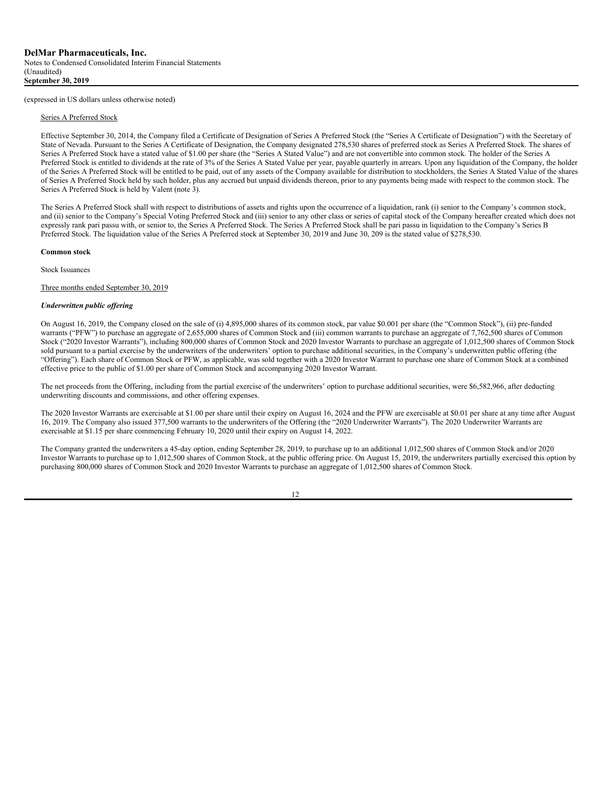#### Series A Preferred Stock

Effective September 30, 2014, the Company filed a Certificate of Designation of Series A Preferred Stock (the "Series A Certificate of Designation") with the Secretary of State of Nevada. Pursuant to the Series A Certificate of Designation, the Company designated 278,530 shares of preferred stock as Series A Preferred Stock. The shares of Series A Preferred Stock have a stated value of \$1.00 per share (the "Series A Stated Value") and are not convertible into common stock. The holder of the Series A Preferred Stock is entitled to dividends at the rate of 3% of the Series A Stated Value per year, payable quarterly in arrears. Upon any liquidation of the Company, the holder of the Series A Preferred Stock will be entitled to be paid, out of any assets of the Company available for distribution to stockholders, the Series A Stated Value of the shares of Series A Preferred Stock held by such holder, plus any accrued but unpaid dividends thereon, prior to any payments being made with respect to the common stock. The Series A Preferred Stock is held by Valent (note 3).

The Series A Preferred Stock shall with respect to distributions of assets and rights upon the occurrence of a liquidation, rank (i) senior to the Company's common stock, and (ii) senior to the Company's Special Voting Preferred Stock and (iii) senior to any other class or series of capital stock of the Company hereafter created which does not expressly rank pari passu with, or senior to, the Series A Preferred Stock. The Series A Preferred Stock shall be pari passu in liquidation to the Company's Series B Preferred Stock. The liquidation value of the Series A Preferred stock at September 30, 2019 and June 30, 209 is the stated value of \$278,530.

#### **Common stock**

Stock Issuances

#### Three months ended September 30, 2019

## *Underwritten public of ering*

On August 16, 2019, the Company closed on the sale of (i) 4,895,000 shares of its common stock, par value \$0.001 per share (the "Common Stock"), (ii) pre-funded warrants ("PFW") to purchase an aggregate of 2,655,000 shares of Common Stock and (iii) common warrants to purchase an aggregate of 7,762,500 shares of Common Stock ("2020 Investor Warrants"), including 800,000 shares of Common Stock and 2020 Investor Warrants to purchase an aggregate of 1,012,500 shares of Common Stock sold pursuant to a partial exercise by the underwriters of the underwriters' option to purchase additional securities, in the Company's underwritten public offering (the "Offering"). Each share of Common Stock or PFW, as applicable, was sold together with a 2020 Investor Warrant to purchase one share of Common Stock at a combined effective price to the public of \$1.00 per share of Common Stock and accompanying 2020 Investor Warrant.

The net proceeds from the Offering, including from the partial exercise of the underwriters' option to purchase additional securities, were \$6,582,966, after deducting underwriting discounts and commissions, and other offering expenses.

The 2020 Investor Warrants are exercisable at \$1.00 per share until their expiry on August 16, 2024 and the PFW are exercisable at \$0.01 per share at any time after August 16, 2019. The Company also issued 377,500 warrants to the underwriters of the Offering (the "2020 Underwriter Warrants"). The 2020 Underwriter Warrants are exercisable at \$1.15 per share commencing February 10, 2020 until their expiry on August 14, 2022.

The Company granted the underwriters a 45-day option, ending September 28, 2019, to purchase up to an additional 1,012,500 shares of Common Stock and/or 2020 Investor Warrants to purchase up to 1,012,500 shares of Common Stock, at the public offering price. On August 15, 2019, the underwriters partially exercised this option by purchasing 800,000 shares of Common Stock and 2020 Investor Warrants to purchase an aggregate of 1,012,500 shares of Common Stock.

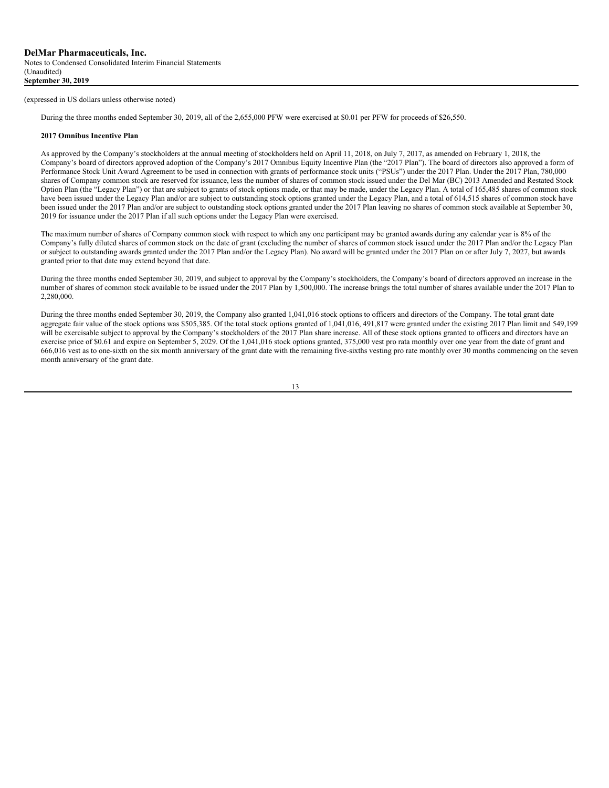During the three months ended September 30, 2019, all of the 2,655,000 PFW were exercised at \$0.01 per PFW for proceeds of \$26,550.

#### **2017 Omnibus Incentive Plan**

As approved by the Company's stockholders at the annual meeting of stockholders held on April 11, 2018, on July 7, 2017, as amended on February 1, 2018, the Company's board of directors approved adoption of the Company's 2017 Omnibus Equity Incentive Plan (the "2017 Plan"). The board of directors also approved a form of Performance Stock Unit Award Agreement to be used in connection with grants of performance stock units ("PSUs") under the 2017 Plan. Under the 2017 Plan, 780,000 shares of Company common stock are reserved for issuance, less the number of shares of common stock issued under the Del Mar (BC) 2013 Amended and Restated Stock Option Plan (the "Legacy Plan") or that are subject to grants of stock options made, or that may be made, under the Legacy Plan. A total of 165,485 shares of common stock have been issued under the Legacy Plan and/or are subject to outstanding stock options granted under the Legacy Plan, and a total of 614,515 shares of common stock have been issued under the 2017 Plan and/or are subject to outstanding stock options granted under the 2017 Plan leaving no shares of common stock available at September 30, 2019 for issuance under the 2017 Plan if all such options under the Legacy Plan were exercised.

The maximum number of shares of Company common stock with respect to which any one participant may be granted awards during any calendar year is 8% of the Company's fully diluted shares of common stock on the date of grant (excluding the number of shares of common stock issued under the 2017 Plan and/or the Legacy Plan or subject to outstanding awards granted under the 2017 Plan and/or the Legacy Plan). No award will be granted under the 2017 Plan on or after July 7, 2027, but awards granted prior to that date may extend beyond that date.

During the three months ended September 30, 2019, and subject to approval by the Company's stockholders, the Company's board of directors approved an increase in the number of shares of common stock available to be issued under the 2017 Plan by 1,500,000. The increase brings the total number of shares available under the 2017 Plan to 2,280,000.

During the three months ended September 30, 2019, the Company also granted 1,041,016 stock options to officers and directors of the Company. The total grant date aggregate fair value of the stock options was \$505,385. Of the total stock options granted of 1,041,016, 491,817 were granted under the existing 2017 Plan limit and 549,199 will be exercisable subject to approval by the Company's stockholders of the 2017 Plan share increase. All of these stock options granted to officers and directors have an exercise price of \$0.61 and expire on September 5, 2029. Of the 1,041,016 stock options granted, 375,000 vest pro rata monthly over one year from the date of grant and 666,016 vest as to one-sixth on the six month anniversary of the grant date with the remaining five-sixths vesting pro rate monthly over 30 months commencing on the seven month anniversary of the grant date.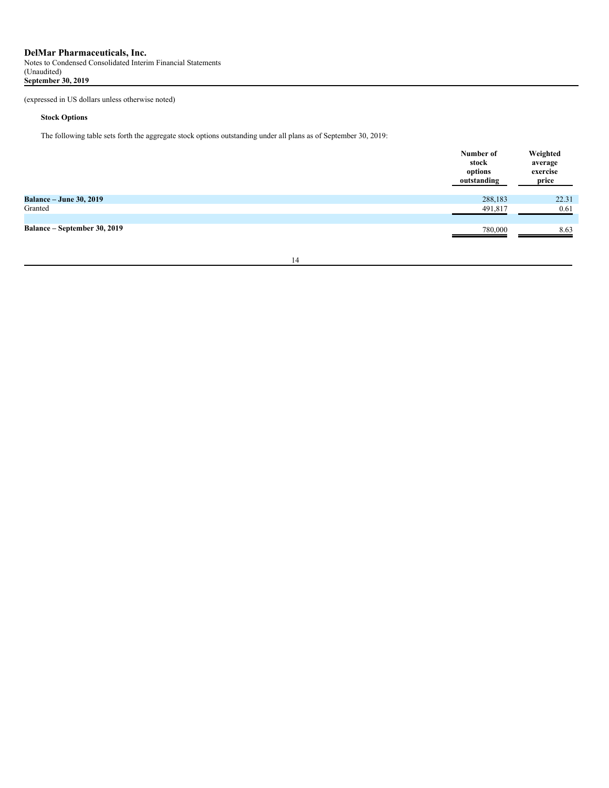Notes to Condensed Consolidated Interim Financial Statements (Unaudited) **September 30, 2019**

(expressed in US dollars unless otherwise noted)

## **Stock Options**

The following table sets forth the aggregate stock options outstanding under all plans as of September 30, 2019:

|                                | Number of<br>stock<br>options<br>outstanding | Weighted<br>average<br>exercise<br>price |
|--------------------------------|----------------------------------------------|------------------------------------------|
| <b>Balance - June 30, 2019</b> | 288,183                                      | 22.31                                    |
| Granted                        | 491,817                                      | 0.61                                     |
| Balance – September 30, 2019   | 780,000                                      | 8.63                                     |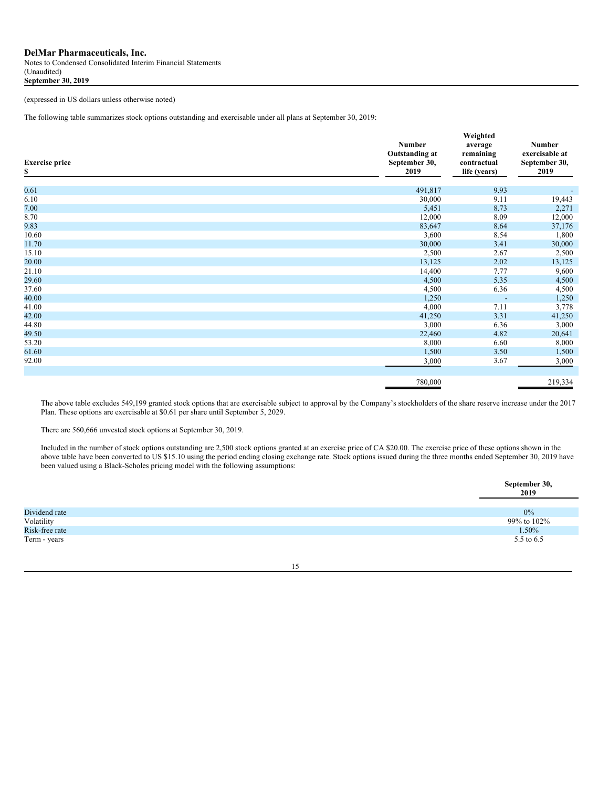Notes to Condensed Consolidated Interim Financial Statements (Unaudited) **September 30, 2019**

(expressed in US dollars unless otherwise noted)

The following table summarizes stock options outstanding and exercisable under all plans at September 30, 2019:

|                         | <b>Number</b>                                  | Weighted<br>average                      | <b>Number</b>                           |  |
|-------------------------|------------------------------------------------|------------------------------------------|-----------------------------------------|--|
| <b>Exercise price</b>   | <b>Outstanding at</b><br>September 30,<br>2019 | remaining<br>contractual<br>life (years) | exercisable at<br>September 30,<br>2019 |  |
| $\overline{\mathbf{z}}$ |                                                |                                          |                                         |  |
| 0.61                    | 491,817                                        | 9.93                                     |                                         |  |
| 6.10                    | 30,000                                         | 9.11                                     | 19,443                                  |  |
| 7.00                    | 5,451                                          | 8.73                                     | 2,271                                   |  |
| 8.70                    | 12,000                                         | 8.09                                     | 12,000                                  |  |
| 9.83                    | 83,647                                         | 8.64                                     | 37,176                                  |  |
| 10.60                   | 3,600                                          | 8.54                                     | 1,800                                   |  |
| 11.70                   | 30,000                                         | 3.41                                     | 30,000                                  |  |
| 15.10                   | 2,500                                          | 2.67                                     | 2,500                                   |  |
| 20.00                   | 13,125                                         | 2.02                                     | 13,125                                  |  |
| 21.10                   | 14,400                                         | 7.77                                     | 9,600                                   |  |
| 29.60                   | 4,500                                          | 5.35                                     | 4,500                                   |  |
| 37.60                   | 4,500                                          | 6.36                                     | 4,500                                   |  |
| 40.00                   | 1,250                                          |                                          | 1,250                                   |  |
| 41.00                   | 4,000                                          | 7.11                                     | 3,778                                   |  |
| 42.00                   | 41,250                                         | 3.31                                     | 41,250                                  |  |
| 44.80                   | 3,000                                          | 6.36                                     | 3,000                                   |  |
| 49.50                   | 22,460                                         | 4.82                                     | 20,641                                  |  |
| 53.20                   | 8,000                                          | 6.60                                     | 8,000                                   |  |
| 61.60                   | 1,500                                          | 3.50                                     | 1,500                                   |  |
| 92.00                   | 3,000                                          | 3.67                                     | 3,000                                   |  |
|                         | 780,000                                        |                                          | 219,334                                 |  |

The above table excludes 549,199 granted stock options that are exercisable subject to approval by the Company's stockholders of the share reserve increase under the 2017 Plan. These options are exercisable at \$0.61 per share until September 5, 2029.

There are 560,666 unvested stock options at September 30, 2019.

Included in the number of stock options outstanding are 2,500 stock options granted at an exercise price of CA \$20.00. The exercise price of these options shown in the above table have been converted to US \$15.10 using the period ending closing exchange rate. Stock options issued during the three months ended September 30, 2019 have been valued using a Black-Scholes pricing model with the following assumptions:

| September 30,<br>2019 |
|-----------------------|
|                       |
| $0\%$                 |
| 99% to 102%           |
| 1.50%                 |
| 5.5 to 6.5            |
|                       |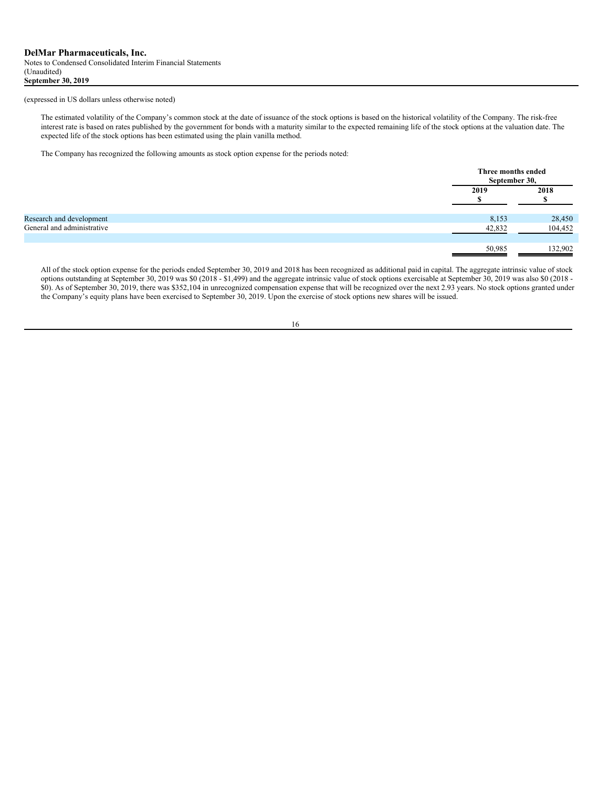Notes to Condensed Consolidated Interim Financial Statements (Unaudited) **September 30, 2019**

(expressed in US dollars unless otherwise noted)

The estimated volatility of the Company's common stock at the date of issuance of the stock options is based on the historical volatility of the Company. The risk-free interest rate is based on rates published by the government for bonds with a maturity similar to the expected remaining life of the stock options at the valuation date. The expected life of the stock options has been estimated using the plain vanilla method.

The Company has recognized the following amounts as stock option expense for the periods noted:

|                            |        | Three months ended<br>September 30, |  |
|----------------------------|--------|-------------------------------------|--|
|                            | 2019   | 2018                                |  |
| Research and development   | 8,153  | 28,450                              |  |
| General and administrative | 42,832 | 104,452                             |  |
|                            |        |                                     |  |
|                            | 50,985 | 132,902                             |  |

All of the stock option expense for the periods ended September 30, 2019 and 2018 has been recognized as additional paid in capital. The aggregate intrinsic value of stock options outstanding at September 30, 2019 was \$0 (2018 - \$1,499) and the aggregate intrinsic value of stock options exercisable at September 30, 2019 was also \$0 (2018 - \$0). As of September 30, 2019, there was \$352,104 in unrecognized compensation expense that will be recognized over the next 2.93 years. No stock options granted under the Company's equity plans have been exercised to September 30, 2019. Upon the exercise of stock options new shares will be issued.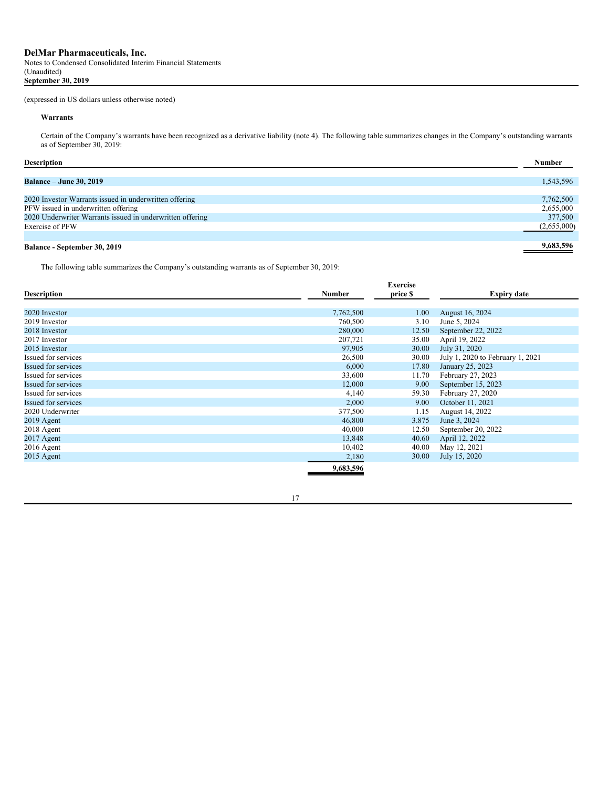Notes to Condensed Consolidated Interim Financial Statements (Unaudited) **September 30, 2019**

(expressed in US dollars unless otherwise noted)

## **Warrants**

Certain of the Company's warrants have been recognized as a derivative liability (note 4). The following table summarizes changes in the Company's outstanding warrants as of September 30, 2019:

| <b>Description</b>                                        | <b>Number</b> |
|-----------------------------------------------------------|---------------|
|                                                           |               |
| <b>Balance – June 30, 2019</b>                            | 1,543,596     |
|                                                           |               |
| 2020 Investor Warrants issued in underwritten offering    | 7,762,500     |
| PFW issued in underwritten offering                       | 2,655,000     |
| 2020 Underwriter Warrants issued in underwritten offering | 377,500       |
| Exercise of PFW                                           | (2,655,000)   |
|                                                           |               |
| $D - 1 - \cdots$ $D - 1 - 1 - 20$ 2010                    | 9 683 596     |

#### **Balance - September 30, 2019 9,683,596**

The following table summarizes the Company's outstanding warrants as of September 30, 2019:

| <b>Description</b>  | <b>Number</b> | <b>Exercise</b><br>price \$ | <b>Expiry date</b>               |
|---------------------|---------------|-----------------------------|----------------------------------|
|                     |               |                             |                                  |
| 2020 Investor       | 7,762,500     | 1.00                        | August 16, 2024                  |
| 2019 Investor       | 760,500       | 3.10                        | June 5, 2024                     |
| 2018 Investor       | 280,000       | 12.50                       | September 22, 2022               |
| 2017 Investor       | 207,721       | 35.00                       | April 19, 2022                   |
| 2015 Investor       | 97,905        | 30.00                       | July 31, 2020                    |
| Issued for services | 26,500        | 30.00                       | July 1, 2020 to February 1, 2021 |
| Issued for services | 6,000         | 17.80                       | January 25, 2023                 |
| Issued for services | 33,600        | 11.70                       | February 27, 2023                |
| Issued for services | 12,000        | 9.00                        | September 15, 2023               |
| Issued for services | 4,140         | 59.30                       | February 27, 2020                |
| Issued for services | 2,000         | 9.00                        | October 11, 2021                 |
| 2020 Underwriter    | 377,500       | 1.15                        | August 14, 2022                  |
| $2019$ Agent        | 46,800        | 3.875                       | June 3, 2024                     |
| 2018 Agent          | 40,000        | 12.50                       | September 20, 2022               |
| $2017$ Agent        | 13,848        | 40.60                       | April 12, 2022                   |
| $2016$ Agent        | 10,402        | 40.00                       | May 12, 2021                     |
| 2015 Agent          | 2,180         | 30.00                       | July 15, 2020                    |
|                     | 9,683,596     |                             |                                  |

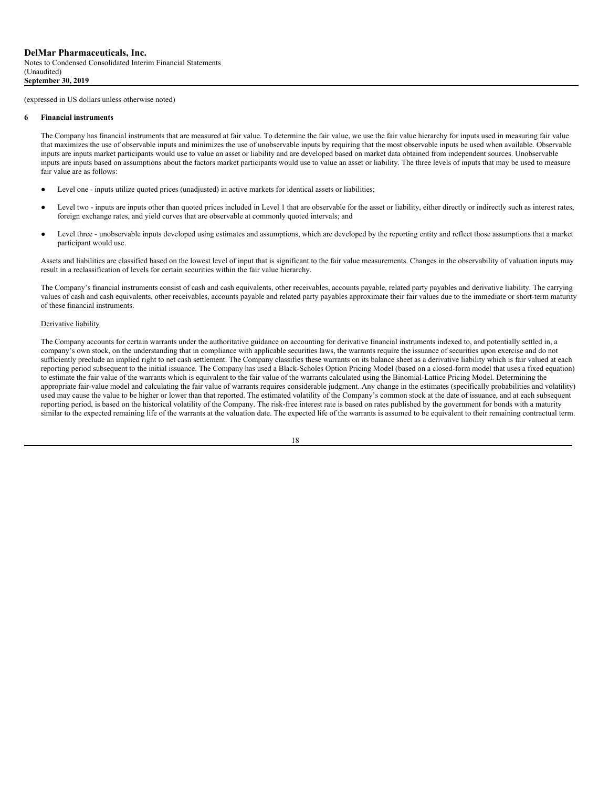#### **6 Financial instruments**

The Company has financial instruments that are measured at fair value. To determine the fair value, we use the fair value hierarchy for inputs used in measuring fair value that maximizes the use of observable inputs and minimizes the use of unobservable inputs by requiring that the most observable inputs be used when available. Observable inputs are inputs market participants would use to value an asset or liability and are developed based on market data obtained from independent sources. Unobservable inputs are inputs based on assumptions about the factors market participants would use to value an asset or liability. The three levels of inputs that may be used to measure fair value are as follows:

- Level one inputs utilize quoted prices (unadjusted) in active markets for identical assets or liabilities;
- Level two inputs are inputs other than quoted prices included in Level 1 that are observable for the asset or liability, either directly or indirectly such as interest rates, foreign exchange rates, and yield curves that are observable at commonly quoted intervals; and
- Level three unobservable inputs developed using estimates and assumptions, which are developed by the reporting entity and reflect those assumptions that a market participant would use.

Assets and liabilities are classified based on the lowest level of input that is significant to the fair value measurements. Changes in the observability of valuation inputs may result in a reclassification of levels for certain securities within the fair value hierarchy.

The Company's financial instruments consist of cash and cash equivalents, other receivables, accounts payable, related party payables and derivative liability. The carrying values of cash and cash equivalents, other receivables, accounts payable and related party payables approximate their fair values due to the immediate or short-term maturity of these financial instruments.

## Derivative liability

The Company accounts for certain warrants under the authoritative guidance on accounting for derivative financial instruments indexed to, and potentially settled in, a company's own stock, on the understanding that in compliance with applicable securities laws, the warrants require the issuance of securities upon exercise and do not sufficiently preclude an implied right to net cash settlement. The Company classifies these warrants on its balance sheet as a derivative liability which is fair valued at each reporting period subsequent to the initial issuance. The Company has used a Black-Scholes Option Pricing Model (based on a closed-form model that uses a fixed equation) to estimate the fair value of the warrants which is equivalent to the fair value of the warrants calculated using the Binomial-Lattice Pricing Model. Determining the appropriate fair-value model and calculating the fair value of warrants requires considerable judgment. Any change in the estimates (specifically probabilities and volatility) used may cause the value to be higher or lower than that reported. The estimated volatility of the Company's common stock at the date of issuance, and at each subsequent reporting period, is based on the historical volatility of the Company. The risk-free interest rate is based on rates published by the government for bonds with a maturity similar to the expected remaining life of the warrants at the valuation date. The expected life of the warrants is assumed to be equivalent to their remaining contractual term.

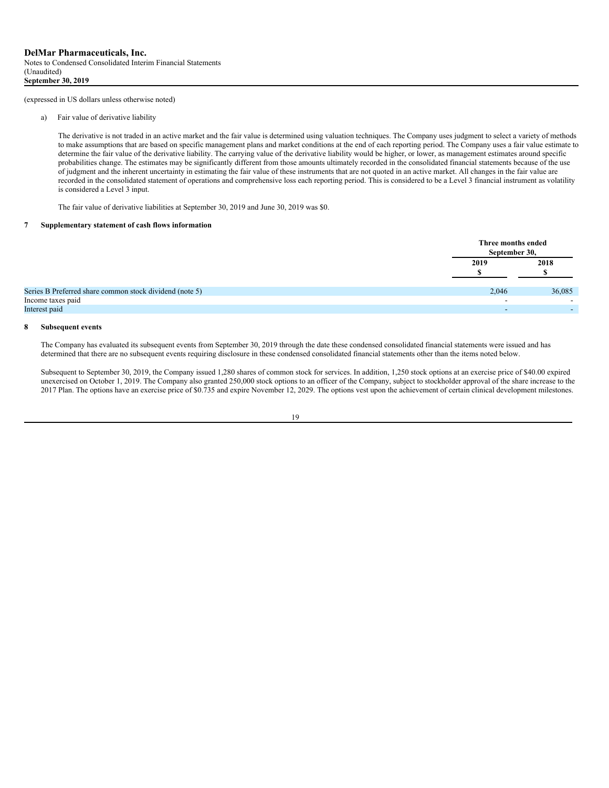a) Fair value of derivative liability

The derivative is not traded in an active market and the fair value is determined using valuation techniques. The Company uses judgment to select a variety of methods to make assumptions that are based on specific management plans and market conditions at the end of each reporting period. The Company uses a fair value estimate to determine the fair value of the derivative liability. The carrying value of the derivative liability would be higher, or lower, as management estimates around specific probabilities change. The estimates may be significantly different from those amounts ultimately recorded in the consolidated financial statements because of the use of judgment and the inherent uncertainty in estimating the fair value of these instruments that are not quoted in an active market. All changes in the fair value are recorded in the consolidated statement of operations and comprehensive loss each reporting period. This is considered to be a Level 3 financial instrument as volatility is considered a Level 3 input.

The fair value of derivative liabilities at September 30, 2019 and June 30, 2019 was \$0.

#### **7 Supplementary statement of cash flows information**

|                                                         | Three months ended<br>September 30, |        |
|---------------------------------------------------------|-------------------------------------|--------|
|                                                         | 2019                                | 2018   |
| Series B Preferred share common stock dividend (note 5) | 2,046                               | 36,085 |
| Income taxes paid                                       |                                     |        |
| Interest paid                                           | -                                   |        |

#### **8 Subsequent events**

The Company has evaluated its subsequent events from September 30, 2019 through the date these condensed consolidated financial statements were issued and has determined that there are no subsequent events requiring disclosure in these condensed consolidated financial statements other than the items noted below.

Subsequent to September 30, 2019, the Company issued 1,280 shares of common stock for services. In addition, 1,250 stock options at an exercise price of \$40.00 expired unexercised on October 1, 2019. The Company also granted 250,000 stock options to an officer of the Company, subject to stockholder approval of the share increase to the 2017 Plan. The options have an exercise price of \$0.735 and expire November 12, 2029. The options vest upon the achievement of certain clinical development milestones.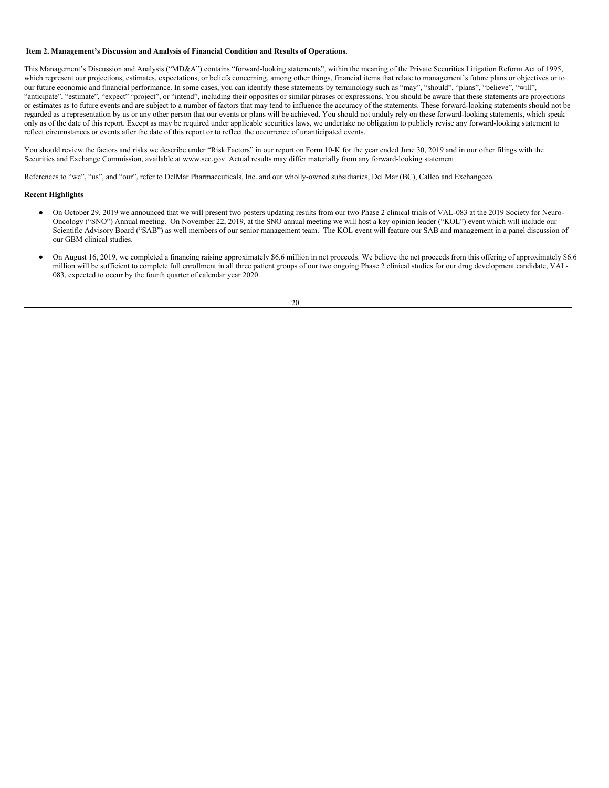### <span id="page-21-0"></span>**Item 2. Management's Discussion and Analysis of Financial Condition and Results of Operations.**

This Management's Discussion and Analysis ("MD&A") contains "forward-looking statements", within the meaning of the Private Securities Litigation Reform Act of 1995, which represent our projections, estimates, expectations, or beliefs concerning, among other things, financial items that relate to management's future plans or objectives or to our future economic and financial performance. In some cases, you can identify these statements by terminology such as "may", "should", "plans", "believe", "will", "anticipate", "estimate", "expect" "project", or "intend", including their opposites or similar phrases or expressions. You should be aware that these statements are projections or estimates as to future events and are subject to a number of factors that may tend to influence the accuracy of the statements. These forward-looking statements should not be regarded as a representation by us or any other person that our events or plans will be achieved. You should not unduly rely on these forward-looking statements, which speak only as of the date of this report. Except as may be required under applicable securities laws, we undertake no obligation to publicly revise any forward-looking statement to reflect circumstances or events after the date of this report or to reflect the occurrence of unanticipated events.

You should review the factors and risks we describe under "Risk Factors" in our report on Form 10-K for the year ended June 30, 2019 and in our other filings with the Securities and Exchange Commission, available at www.sec.gov. Actual results may differ materially from any forward-looking statement.

References to "we", "us", and "our", refer to DelMar Pharmaceuticals, Inc. and our wholly-owned subsidiaries, Del Mar (BC), Callco and Exchangeco.

## **Recent Highlights**

- On October 29, 2019 we announced that we will present two posters updating results from our two Phase 2 clinical trials of VAL-083 at the 2019 Society for Neuro-Oncology ("SNO") Annual meeting. On November 22, 2019, at the SNO annual meeting we will host a key opinion leader ("KOL") event which will include our Scientific Advisory Board ("SAB") as well members of our senior management team. The KOL event will feature our SAB and management in a panel discussion of our GBM clinical studies.
- On August 16, 2019, we completed a financing raising approximately \$6.6 million in net proceeds. We believe the net proceeds from this offering of approximately \$6.6 million will be sufficient to complete full enrollment in all three patient groups of our two ongoing Phase 2 clinical studies for our drug development candidate, VAL-083, expected to occur by the fourth quarter of calendar year 2020.

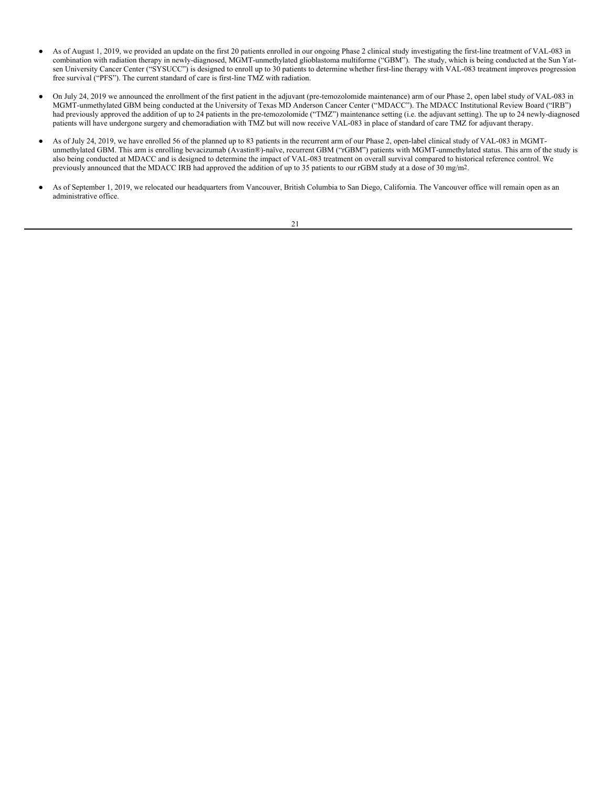- As of August 1, 2019, we provided an update on the first 20 patients enrolled in our ongoing Phase 2 clinical study investigating the first-line treatment of VAL-083 in combination with radiation therapy in newly-diagnosed, MGMT-unmethylated glioblastoma multiforme ("GBM"). The study, which is being conducted at the Sun Yatsen University Cancer Center ("SYSUCC") is designed to enroll up to 30 patients to determine whether first-line therapy with VAL-083 treatment improves progression free survival ("PFS"). The current standard of care is first-line TMZ with radiation.
- On July 24, 2019 we announced the enrollment of the first patient in the adjuvant (pre-temozolomide maintenance) arm of our Phase 2, open label study of VAL-083 in MGMT-unmethylated GBM being conducted at the University of Texas MD Anderson Cancer Center ("MDACC"). The MDACC Institutional Review Board ("IRB") had previously approved the addition of up to 24 patients in the pre-temozolomide ("TMZ") maintenance setting (i.e. the adjuvant setting). The up to 24 newly-diagnosed patients will have undergone surgery and chemoradiation with TMZ but will now receive VAL-083 in place of standard of care TMZ for adjuvant therapy.
- As of July 24, 2019, we have enrolled 56 of the planned up to 83 patients in the recurrent arm of our Phase 2, open-label clinical study of VAL-083 in MGMTunmethylated GBM. This arm is enrolling bevacizumab (Avastin®)-naïve, recurrent GBM ("rGBM") patients with MGMT-unmethylated status. This arm of the study is also being conducted at MDACC and is designed to determine the impact of VAL-083 treatment on overall survival compared to historical reference control. We previously announced that the MDACC IRB had approved the addition of up to 35 patients to our rGBM study at a dose of 30 mg/m<sup>2</sup>.
- As of September 1, 2019, we relocated our headquarters from Vancouver, British Columbia to San Diego, California. The Vancouver office will remain open as an administrative office.

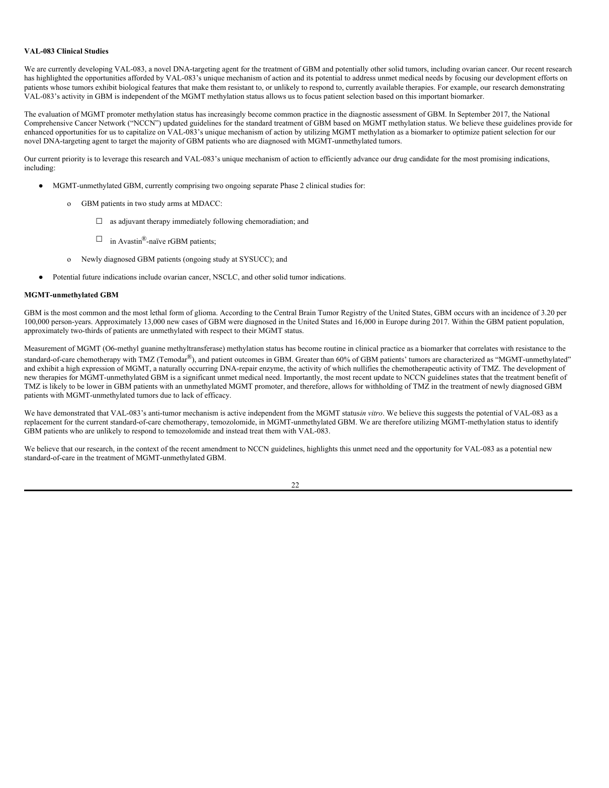## **VAL-083 Clinical Studies**

We are currently developing VAL-083, a novel DNA-targeting agent for the treatment of GBM and potentially other solid tumors, including ovarian cancer. Our recent research has highlighted the opportunities afforded by VAL-083's unique mechanism of action and its potential to address unmet medical needs by focusing our development efforts on patients whose tumors exhibit biological features that make them resistant to, or unlikely to respond to, currently available therapies. For example, our research demonstrating VAL-083's activity in GBM is independent of the MGMT methylation status allows us to focus patient selection based on this important biomarker.

The evaluation of MGMT promoter methylation status has increasingly become common practice in the diagnostic assessment of GBM. In September 2017, the National Comprehensive Cancer Network ("NCCN") updated guidelines for the standard treatment of GBM based on MGMT methylation status. We believe these guidelines provide for enhanced opportunities for us to capitalize on VAL-083's unique mechanism of action by utilizing MGMT methylation as a biomarker to optimize patient selection for our novel DNA-targeting agent to target the majority of GBM patients who are diagnosed with MGMT-unmethylated tumors.

Our current priority is to leverage this research and VAL-083's unique mechanism of action to efficiently advance our drug candidate for the most promising indications, including:

- MGMT-unmethylated GBM, currently comprising two ongoing separate Phase 2 clinical studies for:
	- o GBM patients in two study arms at MDACC:
		- $\Box$  as adjuvant therapy immediately following chemoradiation; and
		- □ in Avastin®-naïve rGBM patients;
	- o Newly diagnosed GBM patients (ongoing study at SYSUCC); and
- Potential future indications include ovarian cancer, NSCLC, and other solid tumor indications.

## **MGMT-unmethylated GBM**

GBM is the most common and the most lethal form of glioma. According to the Central Brain Tumor Registry of the United States, GBM occurs with an incidence of 3.20 per 100,000 person-years. Approximately 13,000 new cases of GBM were diagnosed in the United States and 16,000 in Europe during 2017. Within the GBM patient population, approximately two-thirds of patients are unmethylated with respect to their MGMT status.

Measurement of MGMT (O6-methyl guanine methyltransferase) methylation status has become routine in clinical practice as a biomarker that correlates with resistance to the standard-of-care chemotherapy with TMZ (Temodar $\mathbb{R}$ ), and patient outcomes in GBM. Greater than 60% of GBM patients' tumors are characterized as "MGMT-unmethylated" and exhibit a high expression of MGMT, a naturally occurring DNA-repair enzyme, the activity of which nullifies the chemotherapeutic activity of TMZ. The development of new therapies for MGMT-unmethylated GBM is a significant unmet medical need. Importantly, the most recent update to NCCN guidelines states that the treatment benefit of TMZ is likely to be lower in GBM patients with an unmethylated MGMT promoter, and therefore, allows for withholding of TMZ in the treatment of newly diagnosed GBM patients with MGMT-unmethylated tumors due to lack of efficacy.

We have demonstrated that VAL-083's anti-tumor mechanism is active independent from the MGMT status*in vitro*. We believe this suggests the potential of VAL-083 as a replacement for the current standard-of-care chemotherapy, temozolomide, in MGMT-unmethylated GBM. We are therefore utilizing MGMT-methylation status to identify GBM patients who are unlikely to respond to temozolomide and instead treat them with VAL-083.

We believe that our research, in the context of the recent amendment to NCCN guidelines, highlights this unmet need and the opportunity for VAL-083 as a potential new standard-of-care in the treatment of MGMT-unmethylated GBM.

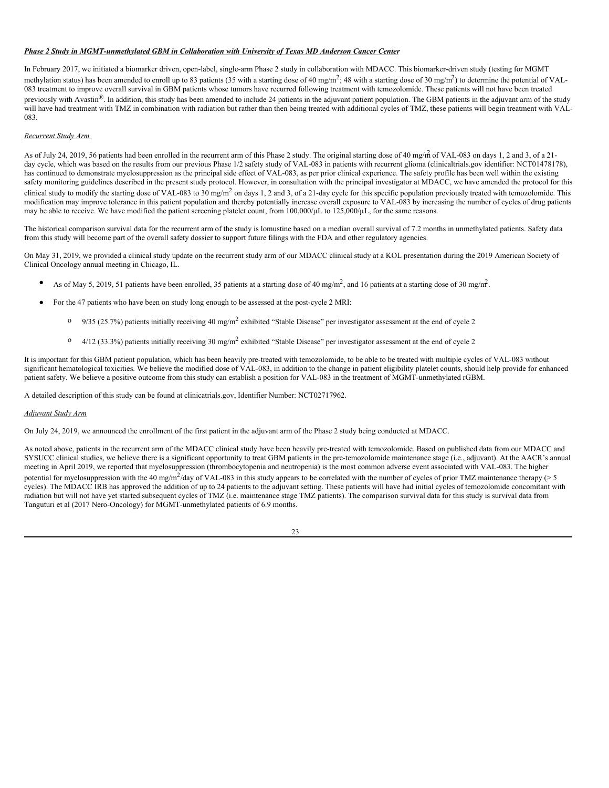## *Phase 2 Study in MGMT-unmethylated GBM in Collaboration with University of Texas MD Anderson Cancer Center*

In February 2017, we initiated a biomarker driven, open-label, single-arm Phase 2 study in collaboration with MDACC. This biomarker-driven study (testing for MGMT methylation status) has been amended to enroll up to 83 patients (35 with a starting dose of 40 mg/m<sup>2</sup>; 48 with a starting dose of 30 mg/m<sup>2</sup>) to determine the potential of VAL-083 treatment to improve overall survival in GBM patients whose tumors have recurred following treatment with temozolomide. These patients will not have been treated previously with Avastin®. In addition, this study has been amended to include 24 patients in the adjuvant patient population. The GBM patients in the adjuvant arm of the study will have had treatment with TMZ in combination with radiation but rather than then being treated with additional cycles of TMZ, these patients will begin treatment with VAL-083.

## *Recurrent Study Arm*

As of July 24, 2019, 56 patients had been enrolled in the recurrent arm of this Phase 2 study. The original starting dose of 40 mg/m of VAL-083 on days 1, 2 and 3, of a 21day cycle, which was based on the results from our previous Phase 1/2 safety study of VAL-083 in patients with recurrent glioma (clinicaltrials.gov identifier: NCT01478178), has continued to demonstrate myelosuppression as the principal side effect of VAL-083, as per prior clinical experience. The safety profile has been well within the existing safety monitoring guidelines described in the present study protocol. However, in consultation with the principal investigator at MDACC, we have amended the protocol for this clinical study to modify the starting dose of VAL-083 to 30 mg/m<sup>2</sup> on days 1, 2 and 3, of a 21-day cycle for this specific population previously treated with temozolomide. This modification may improve tolerance in this patient population and thereby potentially increase overall exposure to VAL-083 by increasing the number of cycles of drug patients may be able to receive. We have modified the patient screening platelet count, from  $100,000/\mu$ L to  $125,000/\mu$ L, for the same reasons.

The historical comparison survival data for the recurrent arm of the study is lomustine based on a median overall survival of 7.2 months in unmethylated patients. Safety data from this study will become part of the overall safety dossier to support future filings with the FDA and other regulatory agencies.

On May 31, 2019, we provided a clinical study update on the recurrent study arm of our MDACC clinical study at a KOL presentation during the 2019 American Society of Clinical Oncology annual meeting in Chicago, IL.

- As of May 5, 2019, 51 patients have been enrolled, 35 patients at a starting dose of 40 mg/m<sup>2</sup>, and 16 patients at a starting dose of 30 mg/m<sup>2</sup>.
- For the 47 patients who have been on study long enough to be assessed at the post-cycle 2 MRI:
	- <sup>0</sup> 9/35 (25.7%) patients initially receiving 40 mg/m<sup>2</sup> exhibited "Stable Disease" per investigator assessment at the end of cycle 2
	- $\frac{9}{4/12}$  (33.3%) patients initially receiving 30 mg/m<sup>2</sup> exhibited "Stable Disease" per investigator assessment at the end of cycle 2

It is important for this GBM patient population, which has been heavily pre-treated with temozolomide, to be able to be treated with multiple cycles of VAL-083 without significant hematological toxicities. We believe the modified dose of VAL-083, in addition to the change in patient eligibility platelet counts, should help provide for enhanced patient safety. We believe a positive outcome from this study can establish a position for VAL-083 in the treatment of MGMT-unmethylated rGBM.

A detailed description of this study can be found at clinicatrials.gov, Identifier Number: NCT02717962.

## *Adjuvant Study Arm*

On July 24, 2019, we announced the enrollment of the first patient in the adjuvant arm of the Phase 2 study being conducted at MDACC.

As noted above, patients in the recurrent arm of the MDACC clinical study have been heavily pre-treated with temozolomide. Based on published data from our MDACC and SYSUCC clinical studies, we believe there is a significant opportunity to treat GBM patients in the pre-temozolomide maintenance stage (i.e., adjuvant). At the AACR's annual meeting in April 2019, we reported that myelosuppression (thrombocytopenia and neutropenia) is the most common adverse event associated with VAL-083. The higher potential for myelosuppression with the 40 mg/m<sup>2</sup>/day of VAL-083 in this study appears to be correlated with the number of cycles of prior TMZ maintenance therapy (> 5 cycles). The MDACC IRB has approved the addition of up to 24 patients to the adjuvant setting. These patients will have had initial cycles of temozolomide concomitant with radiation but will not have yet started subsequent cycles of TMZ (i.e. maintenance stage TMZ patients). The comparison survival data for this study is survival data from Tanguturi et al (2017 Nero-Oncology) for MGMT-unmethylated patients of 6.9 months.

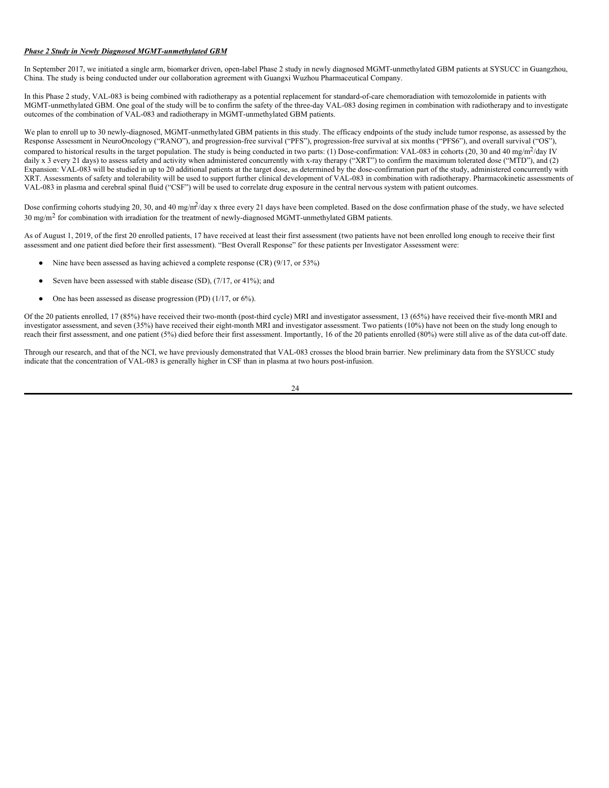## *Phase 2 Study in Newly Diagnosed MGMT-unmethylated GBM*

In September 2017, we initiated a single arm, biomarker driven, open-label Phase 2 study in newly diagnosed MGMT-unmethylated GBM patients at SYSUCC in Guangzhou, China. The study is being conducted under our collaboration agreement with Guangxi Wuzhou Pharmaceutical Company.

In this Phase 2 study, VAL-083 is being combined with radiotherapy as a potential replacement for standard-of-care chemoradiation with temozolomide in patients with MGMT-unmethylated GBM. One goal of the study will be to confirm the safety of the three-day VAL-083 dosing regimen in combination with radiotherapy and to investigate outcomes of the combination of VAL-083 and radiotherapy in MGMT-unmethylated GBM patients.

We plan to enroll up to 30 newly-diagnosed, MGMT-unmethylated GBM patients in this study. The efficacy endpoints of the study include tumor response, as assessed by the Response Assessment in NeuroOncology ("RANO"), and progression-free survival ("PFS"), progression-free survival at six months ("PFS6"), and overall survival ("OS"), compared to historical results in the target population. The study is being conducted in two parts: (1) Dose-confirmation: VAL-083 in cohorts (20, 30 and 40 mg/m<sup>2</sup>/day IV daily x 3 every 21 days) to assess safety and activity when administered concurrently with x-ray therapy ("XRT") to confirm the maximum tolerated dose ("MTD"), and (2) Expansion: VAL-083 will be studied in up to 20 additional patients at the target dose, as determined by the dose-confirmation part of the study, administered concurrently with XRT. Assessments of safety and tolerability will be used to support further clinical development of VAL-083 in combination with radiotherapy. Pharmacokinetic assessments of VAL-083 in plasma and cerebral spinal fluid ("CSF") will be used to correlate drug exposure in the central nervous system with patient outcomes.

Dose confirming cohorts studying 20, 30, and 40 mg/m<sup>2</sup>/day x three every 21 days have been completed. Based on the dose confirmation phase of the study, we have selected 30 mg/m<sup>2</sup> for combination with irradiation for the treatment of newly-diagnosed MGMT-unmethylated GBM patients.

As of August 1, 2019, of the first 20 enrolled patients, 17 have received at least their first assessment (two patients have not been enrolled long enough to receive their first assessment and one patient died before their first assessment). "Best Overall Response" for these patients per Investigator Assessment were:

- Nine have been assessed as having achieved a complete response  $(CR)$  (9/17, or 53%)
- Seven have been assessed with stable disease (SD), (7/17, or 41%); and
- One has been assessed as disease progression (PD)  $(1/17, \text{ or } 6\%)$ .

Of the 20 patients enrolled, 17 (85%) have received their two-month (post-third cycle) MRI and investigator assessment, 13 (65%) have received their five-month MRI and investigator assessment, and seven (35%) have received their eight-month MRI and investigator assessment. Two patients (10%) have not been on the study long enough to reach their first assessment, and one patient (5%) died before their first assessment. Importantly, 16 of the 20 patients enrolled (80%) were still alive as of the data cut-off date.

Through our research, and that of the NCI, we have previously demonstrated that VAL-083 crosses the blood brain barrier. New preliminary data from the SYSUCC study indicate that the concentration of VAL-083 is generally higher in CSF than in plasma at two hours post-infusion.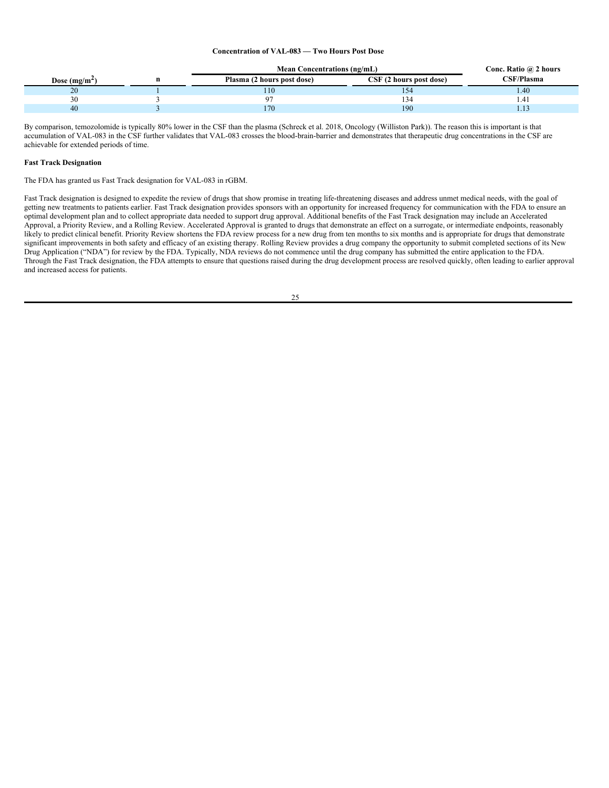### **Concentration of VAL-083 — Two Hours Post Dose**

|                 | <b>Mean Concentrations (ng/mL)</b> |                         | Conc. Ratio @ 2 hours |
|-----------------|------------------------------------|-------------------------|-----------------------|
| Dose $(mg/m^2)$ | Plasma (2 hours post dose)         | CSF (2 hours post dose) | CSF/Plasma            |
| 20              | 110                                | L 34                    | 1.40                  |
| 30              |                                    | 34ء                     | 1.41                  |
| 40              | 170                                | 190                     | .                     |

By comparison, temozolomide is typically 80% lower in the CSF than the plasma (Schreck et al. 2018, Oncology (Williston Park)). The reason this is important is that accumulation of VAL-083 in the CSF further validates that VAL-083 crosses the blood-brain-barrier and demonstrates that therapeutic drug concentrations in the CSF are achievable for extended periods of time.

## **Fast Track Designation**

The FDA has granted us Fast Track designation for VAL-083 in rGBM.

Fast Track designation is designed to expedite the review of drugs that show promise in treating life-threatening diseases and address unmet medical needs, with the goal of getting new treatments to patients earlier. Fast Track designation provides sponsors with an opportunity for increased frequency for communication with the FDA to ensure an optimal development plan and to collect appropriate data needed to support drug approval. Additional benefits of the Fast Track designation may include an Accelerated Approval, a Priority Review, and a Rolling Review. Accelerated Approval is granted to drugs that demonstrate an effect on a surrogate, or intermediate endpoints, reasonably likely to predict clinical benefit. Priority Review shortens the FDA review process for a new drug from ten months to six months and is appropriate for drugs that demonstrate significant improvements in both safety and efficacy of an existing therapy. Rolling Review provides a drug company the opportunity to submit completed sections of its New Drug Application ("NDA") for review by the FDA. Typically, NDA reviews do not commence until the drug company has submitted the entire application to the FDA. Through the Fast Track designation, the FDA attempts to ensure that questions raised during the drug development process are resolved quickly, often leading to earlier approval and increased access for patients.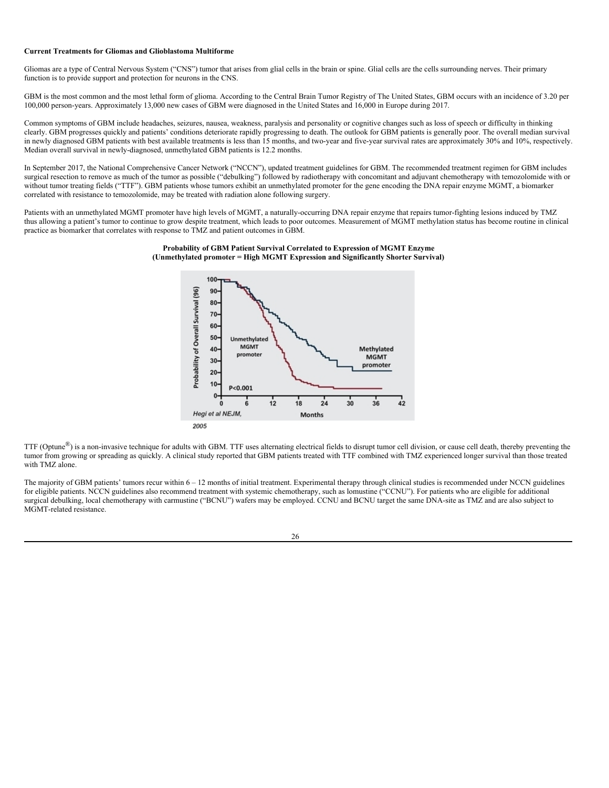### **Current Treatments for Gliomas and Glioblastoma Multiforme**

Gliomas are a type of Central Nervous System ("CNS") tumor that arises from glial cells in the brain or spine. Glial cells are the cells surrounding nerves. Their primary function is to provide support and protection for neurons in the CNS.

GBM is the most common and the most lethal form of glioma. According to the Central Brain Tumor Registry of The United States, GBM occurs with an incidence of 3.20 per 100,000 person-years. Approximately 13,000 new cases of GBM were diagnosed in the United States and 16,000 in Europe during 2017.

Common symptoms of GBM include headaches, seizures, nausea, weakness, paralysis and personality or cognitive changes such as loss of speech or difficulty in thinking clearly. GBM progresses quickly and patients' conditions deteriorate rapidly progressing to death. The outlook for GBM patients is generally poor. The overall median survival in newly diagnosed GBM patients with best available treatments is less than 15 months, and two-year and five-year survival rates are approximately 30% and 10%, respectively. Median overall survival in newly-diagnosed, unmethylated GBM patients is 12.2 months.

In September 2017, the National Comprehensive Cancer Network ("NCCN"), updated treatment guidelines for GBM. The recommended treatment regimen for GBM includes surgical resection to remove as much of the tumor as possible ("debulking") followed by radiotherapy with concomitant and adjuvant chemotherapy with temozolomide with or without tumor treating fields ("TTF"). GBM patients whose tumors exhibit an unmethylated promoter for the gene encoding the DNA repair enzyme MGMT, a biomarker correlated with resistance to temozolomide, may be treated with radiation alone following surgery.

Patients with an unmethylated MGMT promoter have high levels of MGMT, a naturally-occurring DNA repair enzyme that repairs tumor-fighting lesions induced by TMZ thus allowing a patient's tumor to continue to grow despite treatment, which leads to poor outcomes. Measurement of MGMT methylation status has become routine in clinical practice as biomarker that correlates with response to TMZ and patient outcomes in GBM.



**Probability of GBM Patient Survival Correlated to Expression of MGMT Enzyme (Unmethylated promoter = High MGMT Expression and Significantly Shorter Survival)**

TTF (Optune<sup>®</sup>) is a non-invasive technique for adults with GBM. TTF uses alternating electrical fields to disrupt tumor cell division, or cause cell death, thereby preventing the tumor from growing or spreading as quickly. A clinical study reported that GBM patients treated with TTF combined with TMZ experienced longer survival than those treated with TMZ alone.

The majority of GBM patients' tumors recur within 6 – 12 months of initial treatment. Experimental therapy through clinical studies is recommended under NCCN guidelines for eligible patients. NCCN guidelines also recommend treatment with systemic chemotherapy, such as lomustine ("CCNU"). For patients who are eligible for additional surgical debulking, local chemotherapy with carmustine ("BCNU") wafers may be employed. CCNU and BCNU target the same DNA-site as TMZ and are also subject to MGMT-related resistance.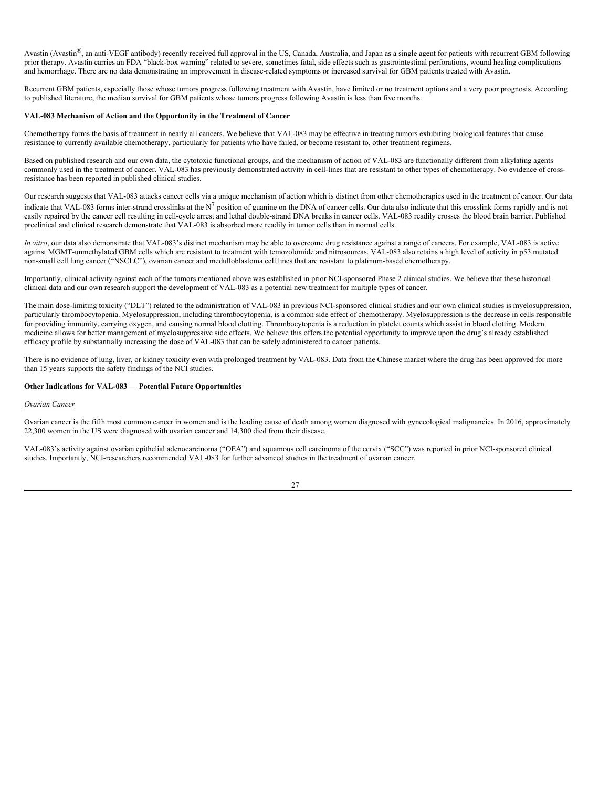Avastin (Avastin®, an anti-VEGF antibody) recently received full approval in the US, Canada, Australia, and Japan as a single agent for patients with recurrent GBM following prior therapy. Avastin carries an FDA "black-box warning" related to severe, sometimes fatal, side effects such as gastrointestinal perforations, wound healing complications and hemorrhage. There are no data demonstrating an improvement in disease-related symptoms or increased survival for GBM patients treated with Avastin.

Recurrent GBM patients, especially those whose tumors progress following treatment with Avastin, have limited or no treatment options and a very poor prognosis. According to published literature, the median survival for GBM patients whose tumors progress following Avastin is less than five months.

## **VAL-083 Mechanism of Action and the Opportunity in the Treatment of Cancer**

Chemotherapy forms the basis of treatment in nearly all cancers. We believe that VAL-083 may be effective in treating tumors exhibiting biological features that cause resistance to currently available chemotherapy, particularly for patients who have failed, or become resistant to, other treatment regimens.

Based on published research and our own data, the cytotoxic functional groups, and the mechanism of action of VAL-083 are functionally different from alkylating agents commonly used in the treatment of cancer. VAL-083 has previously demonstrated activity in cell-lines that are resistant to other types of chemotherapy. No evidence of crossresistance has been reported in published clinical studies.

Our research suggests that VAL-083 attacks cancer cells via a unique mechanism of action which is distinct from other chemotherapies used in the treatment of cancer. Our data indicate that VAL-083 forms inter-strand crosslinks at the  $N^7$  position of guanine on the DNA of cancer cells. Our data also indicate that this crosslink forms rapidly and is not easily repaired by the cancer cell resulting in cell-cycle arrest and lethal double-strand DNA breaks in cancer cells. VAL-083 readily crosses the blood brain barrier. Published preclinical and clinical research demonstrate that VAL-083 is absorbed more readily in tumor cells than in normal cells.

*In vitro*, our data also demonstrate that VAL-083's distinct mechanism may be able to overcome drug resistance against a range of cancers. For example, VAL-083 is active against MGMT-unmethylated GBM cells which are resistant to treatment with temozolomide and nitrosoureas. VAL-083 also retains a high level of activity in p53 mutated non-small cell lung cancer ("NSCLC"), ovarian cancer and medulloblastoma cell lines that are resistant to platinum-based chemotherapy.

Importantly, clinical activity against each of the tumors mentioned above was established in prior NCI-sponsored Phase 2 clinical studies. We believe that these historical clinical data and our own research support the development of VAL-083 as a potential new treatment for multiple types of cancer.

The main dose-limiting toxicity ("DLT") related to the administration of VAL-083 in previous NCI-sponsored clinical studies and our own clinical studies is myelosuppression, particularly thrombocytopenia. Myelosuppression, including thrombocytopenia, is a common side effect of chemotherapy. Myelosuppression is the decrease in cells responsible for providing immunity, carrying oxygen, and causing normal blood clotting. Thrombocytopenia is a reduction in platelet counts which assist in blood clotting. Modern medicine allows for better management of myelosuppressive side effects. We believe this offers the potential opportunity to improve upon the drug's already established efficacy profile by substantially increasing the dose of VAL-083 that can be safely administered to cancer patients.

There is no evidence of lung, liver, or kidney toxicity even with prolonged treatment by VAL-083. Data from the Chinese market where the drug has been approved for more than 15 years supports the safety findings of the NCI studies.

#### **Other Indications for VAL-083 — Potential Future Opportunities**

#### *Ovarian Cancer*

Ovarian cancer is the fifth most common cancer in women and is the leading cause of death among women diagnosed with gynecological malignancies. In 2016, approximately 22,300 women in the US were diagnosed with ovarian cancer and 14,300 died from their disease.

VAL-083's activity against ovarian epithelial adenocarcinoma ("OEA") and squamous cell carcinoma of the cervix ("SCC") was reported in prior NCI-sponsored clinical studies. Importantly, NCI-researchers recommended VAL-083 for further advanced studies in the treatment of ovarian cancer.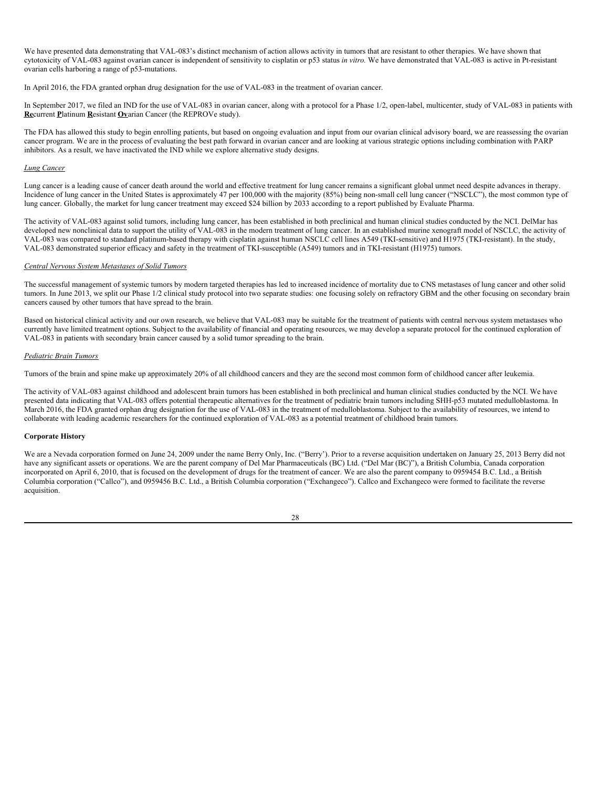We have presented data demonstrating that VAL-083's distinct mechanism of action allows activity in tumors that are resistant to other therapies. We have shown that cytotoxicity of VAL-083 against ovarian cancer is independent of sensitivity to cisplatin or p53 status *in vitro.* We have demonstrated that VAL-083 is active in Pt-resistant ovarian cells harboring a range of p53-mutations.

In April 2016, the FDA granted orphan drug designation for the use of VAL-083 in the treatment of ovarian cancer.

In September 2017, we filed an IND for the use of VAL-083 in ovarian cancer, along with a protocol for a Phase 1/2, open-label, multicenter, study of VAL-083 in patients with **Re**current **P**latinum **R**esistant **Ov**arian Cancer (the REPROVe study).

The FDA has allowed this study to begin enrolling patients, but based on ongoing evaluation and input from our ovarian clinical advisory board, we are reassessing the ovarian cancer program. We are in the process of evaluating the best path forward in ovarian cancer and are looking at various strategic options including combination with PARP inhibitors. As a result, we have inactivated the IND while we explore alternative study designs.

### *Lung Cancer*

Lung cancer is a leading cause of cancer death around the world and effective treatment for lung cancer remains a significant global unmet need despite advances in therapy. Incidence of lung cancer in the United States is approximately 47 per 100,000 with the majority (85%) being non-small cell lung cancer ("NSCLC"), the most common type of lung cancer. Globally, the market for lung cancer treatment may exceed \$24 billion by 2033 according to a report published by Evaluate Pharma.

The activity of VAL-083 against solid tumors, including lung cancer, has been established in both preclinical and human clinical studies conducted by the NCI. DelMar has developed new nonclinical data to support the utility of VAL-083 in the modern treatment of lung cancer. In an established murine xenograft model of NSCLC, the activity of VAL-083 was compared to standard platinum-based therapy with cisplatin against human NSCLC cell lines A549 (TKI-sensitive) and H1975 (TKI-resistant). In the study, VAL-083 demonstrated superior efficacy and safety in the treatment of TKI-susceptible (A549) tumors and in TKI-resistant (H1975) tumors.

### *Central Nervous System Metastases of Solid Tumors*

The successful management of systemic tumors by modern targeted therapies has led to increased incidence of mortality due to CNS metastases of lung cancer and other solid tumors. In June 2013, we split our Phase 1/2 clinical study protocol into two separate studies: one focusing solely on refractory GBM and the other focusing on secondary brain cancers caused by other tumors that have spread to the brain.

Based on historical clinical activity and our own research, we believe that VAL-083 may be suitable for the treatment of patients with central nervous system metastases who currently have limited treatment options. Subject to the availability of financial and operating resources, we may develop a separate protocol for the continued exploration of VAL-083 in patients with secondary brain cancer caused by a solid tumor spreading to the brain.

## *Pediatric Brain Tumors*

Tumors of the brain and spine make up approximately 20% of all childhood cancers and they are the second most common form of childhood cancer after leukemia.

The activity of VAL-083 against childhood and adolescent brain tumors has been established in both preclinical and human clinical studies conducted by the NCI. We have presented data indicating that VAL-083 offers potential therapeutic alternatives for the treatment of pediatric brain tumors including SHH-p53 mutated medulloblastoma. In March 2016, the FDA granted orphan drug designation for the use of VAL-083 in the treatment of medulloblastoma. Subject to the availability of resources, we intend to collaborate with leading academic researchers for the continued exploration of VAL-083 as a potential treatment of childhood brain tumors.

## **Corporate History**

We are a Nevada corporation formed on June 24, 2009 under the name Berry Only, Inc. ("Berry'). Prior to a reverse acquisition undertaken on January 25, 2013 Berry did not have any significant assets or operations. We are the parent company of Del Mar Pharmaceuticals (BC) Ltd. ("Del Mar (BC)"), a British Columbia, Canada corporation incorporated on April 6, 2010, that is focused on the development of drugs for the treatment of cancer. We are also the parent company to 0959454 B.C. Ltd., a British Columbia corporation ("Callco"), and 0959456 B.C. Ltd., a British Columbia corporation ("Exchangeco"). Callco and Exchangeco were formed to facilitate the reverse acquisition.

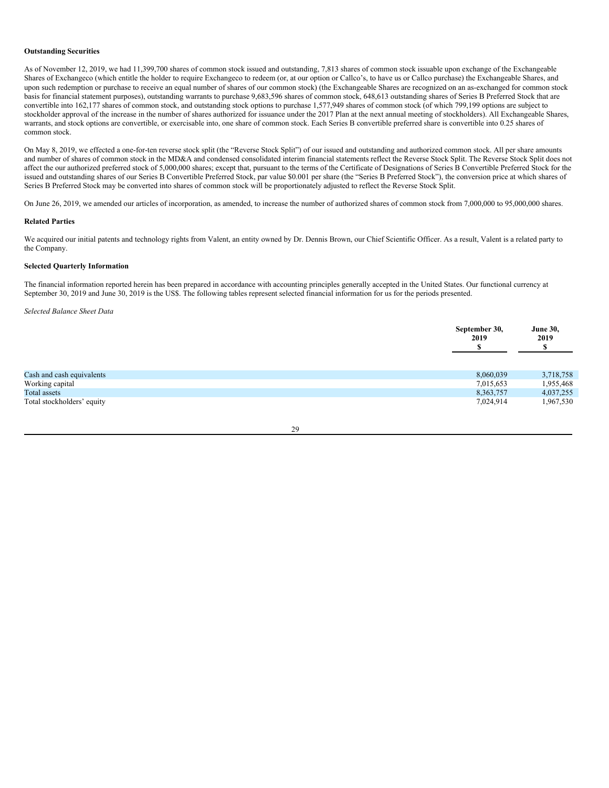#### **Outstanding Securities**

As of November 12, 2019, we had 11,399,700 shares of common stock issued and outstanding, 7,813 shares of common stock issuable upon exchange of the Exchangeable Shares of Exchangeco (which entitle the holder to require Exchangeco to redeem (or, at our option or Callco's, to have us or Callco purchase) the Exchangeable Shares, and upon such redemption or purchase to receive an equal number of shares of our common stock) (the Exchangeable Shares are recognized on an as-exchanged for common stock basis for financial statement purposes), outstanding warrants to purchase 9,683,596 shares of common stock, 648,613 outstanding shares of Series B Preferred Stock that are convertible into 162,177 shares of common stock, and outstanding stock options to purchase 1,577,949 shares of common stock (of which 799,199 options are subject to stockholder approval of the increase in the number of shares authorized for issuance under the 2017 Plan at the next annual meeting of stockholders). All Exchangeable Shares, warrants, and stock options are convertible, or exercisable into, one share of common stock. Each Series B convertible preferred share is convertible into 0.25 shares of common stock.

On May 8, 2019, we effected a one-for-ten reverse stock split (the "Reverse Stock Split") of our issued and outstanding and authorized common stock. All per share amounts and number of shares of common stock in the MD&A and condensed consolidated interim financial statements reflect the Reverse Stock Split. The Reverse Stock Split does not affect the our authorized preferred stock of 5,000,000 shares; except that, pursuant to the terms of the Certificate of Designations of Series B Convertible Preferred Stock for the issued and outstanding shares of our Series B Convertible Preferred Stock, par value \$0.001 per share (the "Series B Preferred Stock"), the conversion price at which shares of Series B Preferred Stock may be converted into shares of common stock will be proportionately adjusted to reflect the Reverse Stock Split.

On June 26, 2019, we amended our articles of incorporation, as amended, to increase the number of authorized shares of common stock from 7,000,000 to 95,000,000 shares.

## **Related Parties**

We acquired our initial patents and technology rights from Valent, an entity owned by Dr. Dennis Brown, our Chief Scientific Officer. As a result, Valent is a related party to the Company.

### **Selected Quarterly Information**

The financial information reported herein has been prepared in accordance with accounting principles generally accepted in the United States. Our functional currency at September 30, 2019 and June 30, 2019 is the US\$. The following tables represent selected financial information for us for the periods presented.

*Selected Balance Sheet Data*

|                            | September 30,<br>2019 | <b>June 30,</b><br>2019<br>٠п |
|----------------------------|-----------------------|-------------------------------|
| Cash and cash equivalents  | 8,060,039             | 3,718,758                     |
| Working capital            | 7,015,653             | 1,955,468                     |
| Total assets               | 8,363,757             | 4,037,255                     |
| Total stockholders' equity | 7,024,914             | 1,967,530                     |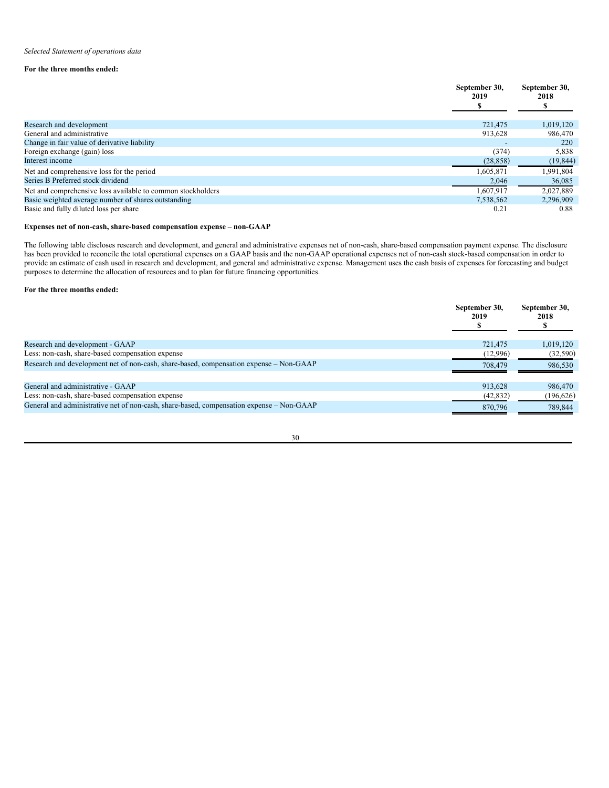## *Selected Statement of operations data*

## **For the three months ended:**

|                                                             | September 30,<br>2019    | September 30,<br>2018 |
|-------------------------------------------------------------|--------------------------|-----------------------|
|                                                             |                          |                       |
| Research and development                                    | 721,475                  | 1,019,120             |
| General and administrative                                  | 913,628                  | 986,470               |
| Change in fair value of derivative liability                | $\overline{\phantom{a}}$ | <b>220</b>            |
| Foreign exchange (gain) loss                                | (374)                    | 5,838                 |
| Interest income                                             | (28, 858)                | (19, 844)             |
| Net and comprehensive loss for the period                   | 1,605,871                | 1,991,804             |
| Series B Preferred stock dividend                           | 2,046                    | 36,085                |
| Net and comprehensive loss available to common stockholders | 1.607.917                | 2,027,889             |
| Basic weighted average number of shares outstanding         | 7,538,562                | 2,296,909             |
| Basic and fully diluted loss per share                      | 0.21                     | 0.88                  |

## **Expenses net of non-cash, share-based compensation expense – non-GAAP**

The following table discloses research and development, and general and administrative expenses net of non-cash, share-based compensation payment expense. The disclosure has been provided to reconcile the total operational expenses on a GAAP basis and the non-GAAP operational expenses net of non-cash stock-based compensation in order to provide an estimate of cash used in research and development, and general and administrative expense. Management uses the cash basis of expenses for forecasting and budget purposes to determine the allocation of resources and to plan for future financing opportunities.

## **For the three months ended:**

|                                                                                          | September 30,<br>2019 | September 30,<br>2018 |
|------------------------------------------------------------------------------------------|-----------------------|-----------------------|
| Research and development - GAAP                                                          | 721,475               | 1,019,120             |
| Less: non-cash, share-based compensation expense                                         | (12,996)              | (32,590)              |
| Research and development net of non-cash, share-based, compensation expense – Non-GAAP   | 708,479               | 986,530               |
|                                                                                          |                       |                       |
| General and administrative - GAAP                                                        | 913.628               | 986,470               |
| Less: non-cash, share-based compensation expense                                         | (42, 832)             | (196, 626)            |
| General and administrative net of non-cash, share-based, compensation expense – Non-GAAP | 870,796               | 789,844               |
|                                                                                          |                       |                       |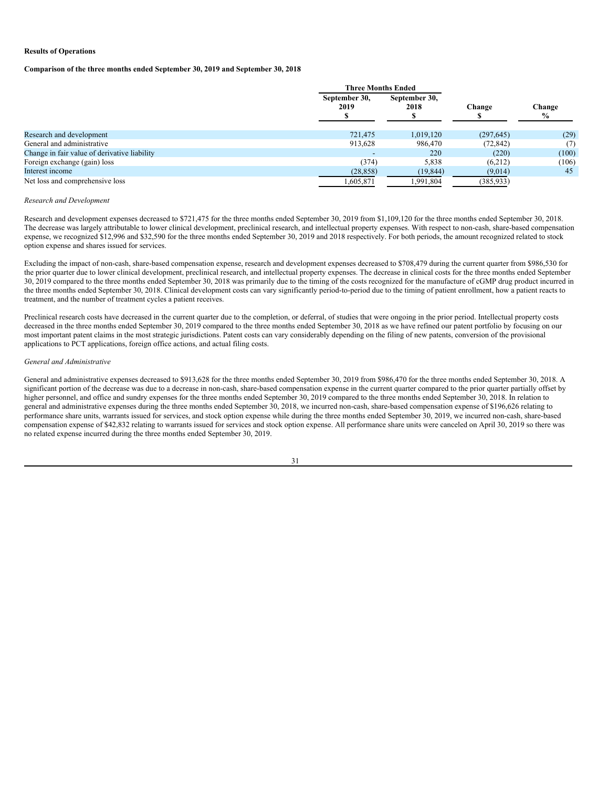#### **Results of Operations**

## **Comparison of the three months ended September 30, 2019 and September 30, 2018**

|                                              |                       | <b>Three Months Ended</b> |            |                         |
|----------------------------------------------|-----------------------|---------------------------|------------|-------------------------|
|                                              | September 30,<br>2019 | September 30,<br>2018     | Change     | Change<br>$\frac{0}{0}$ |
| Research and development                     | 721,475               | 1.019.120                 | (297, 645) | (29)                    |
| General and administrative                   | 913,628               | 986,470                   | (72, 842)  | (7)                     |
| Change in fair value of derivative liability |                       | 220                       | (220)      | (100)                   |
| Foreign exchange (gain) loss                 | (374)                 | 5,838                     | (6,212)    | (106)                   |
| Interest income                              | (28, 858)             | (19, 844)                 | (9,014)    | 45                      |
| Net loss and comprehensive loss              | 1,605,871             | .991,804                  | (385, 933) |                         |

#### *Research and Development*

Research and development expenses decreased to \$721,475 for the three months ended September 30, 2019 from \$1,109,120 for the three months ended September 30, 2018. The decrease was largely attributable to lower clinical development, preclinical research, and intellectual property expenses. With respect to non-cash, share-based compensation expense, we recognized \$12,996 and \$32,590 for the three months ended September 30, 2019 and 2018 respectively. For both periods, the amount recognized related to stock option expense and shares issued for services.

Excluding the impact of non-cash, share-based compensation expense, research and development expenses decreased to \$708,479 during the current quarter from \$986,530 for the prior quarter due to lower clinical development, preclinical research, and intellectual property expenses. The decrease in clinical costs for the three months ended September 30, 2019 compared to the three months ended September 30, 2018 was primarily due to the timing of the costs recognized for the manufacture of cGMP drug product incurred in the three months ended September 30, 2018. Clinical development costs can vary significantly period-to-period due to the timing of patient enrollment, how a patient reacts to treatment, and the number of treatment cycles a patient receives.

Preclinical research costs have decreased in the current quarter due to the completion, or deferral, of studies that were ongoing in the prior period. Intellectual property costs decreased in the three months ended September 30, 2019 compared to the three months ended September 30, 2018 as we have refined our patent portfolio by focusing on our most important patent claims in the most strategic jurisdictions. Patent costs can vary considerably depending on the filing of new patents, conversion of the provisional applications to PCT applications, foreign office actions, and actual filing costs.

#### *General and Administrative*

General and administrative expenses decreased to \$913,628 for the three months ended September 30, 2019 from \$986,470 for the three months ended September 30, 2018. A significant portion of the decrease was due to a decrease in non-cash, share-based compensation expense in the current quarter compared to the prior quarter partially offset by higher personnel, and office and sundry expenses for the three months ended September 30, 2019 compared to the three months ended September 30, 2018. In relation to general and administrative expenses during the three months ended September 30, 2018, we incurred non-cash, share-based compensation expense of \$196,626 relating to performance share units, warrants issued for services, and stock option expense while during the three months ended September 30, 2019, we incurred non-cash, share-based compensation expense of \$42,832 relating to warrants issued for services and stock option expense. All performance share units were canceled on April 30, 2019 so there was no related expense incurred during the three months ended September 30, 2019.

| I<br>I<br>i<br>٧ |  |
|------------------|--|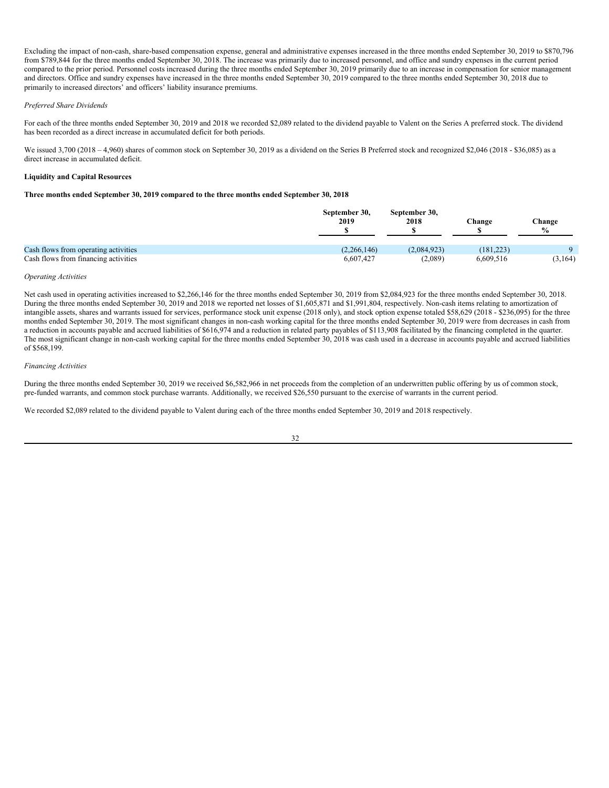Excluding the impact of non-cash, share-based compensation expense, general and administrative expenses increased in the three months ended September 30, 2019 to \$870,796 from \$789,844 for the three months ended September 30, 2018. The increase was primarily due to increased personnel, and office and sundry expenses in the current period compared to the prior period. Personnel costs increased during the three months ended September 30, 2019 primarily due to an increase in compensation for senior management and directors. Office and sundry expenses have increased in the three months ended September 30, 2019 compared to the three months ended September 30, 2018 due to primarily to increased directors' and officers' liability insurance premiums.

### *Preferred Share Dividends*

For each of the three months ended September 30, 2019 and 2018 we recorded \$2,089 related to the dividend payable to Valent on the Series A preferred stock. The dividend has been recorded as a direct increase in accumulated deficit for both periods.

We issued 3,700 (2018 – 4,960) shares of common stock on September 30, 2019 as a dividend on the Series B Preferred stock and recognized \$2,046 (2018 - \$36,085) as a direct increase in accumulated deficit.

## **Liquidity and Capital Resources**

#### **Three months ended September 30, 2019 compared to the three months ended September 30, 2018**

|                                      | September 30,<br>2019 | September 30,<br>2018 | $Change$   | Change<br>$\frac{0}{0}$ |
|--------------------------------------|-----------------------|-----------------------|------------|-------------------------|
| Cash flows from operating activities | (2,266,146)           | (2,084,923)           | (181, 223) |                         |
| Cash flows from financing activities | 6,607,427             | (2,089)               | 6,609,516  | (3,164)                 |

#### *Operating Activities*

Net cash used in operating activities increased to \$2,266,146 for the three months ended September 30, 2019 from \$2,084,923 for the three months ended September 30, 2018. During the three months ended September 30, 2019 and 2018 we reported net losses of \$1,605,871 and \$1,991,804, respectively. Non-cash items relating to amortization of intangible assets, shares and warrants issued for services, performance stock unit expense (2018 only), and stock option expense totaled \$58,629 (2018 - \$236,095) for the three months ended September 30, 2019. The most significant changes in non-cash working capital for the three months ended September 30, 2019 were from decreases in cash from a reduction in accounts payable and accrued liabilities of \$616,974 and a reduction in related party payables of \$113,908 facilitated by the financing completed in the quarter. The most significant change in non-cash working capital for the three months ended September 30, 2018 was cash used in a decrease in accounts payable and accrued liabilities of \$568,199.

## *Financing Activities*

During the three months ended September 30, 2019 we received \$6,582,966 in net proceeds from the completion of an underwritten public offering by us of common stock, pre-funded warrants, and common stock purchase warrants. Additionally, we received \$26,550 pursuant to the exercise of warrants in the current period.

We recorded \$2,089 related to the dividend payable to Valent during each of the three months ended September 30, 2019 and 2018 respectively.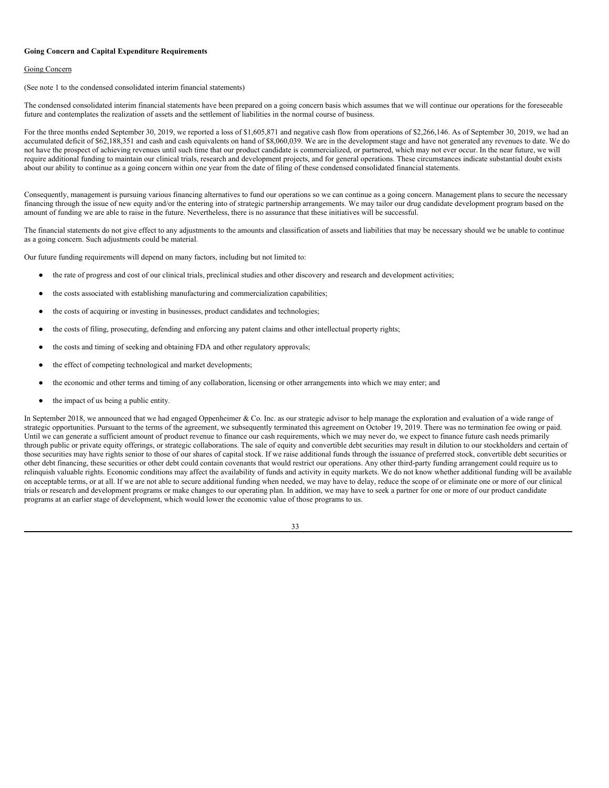#### **Going Concern and Capital Expenditure Requirements**

## Going Concern

(See note 1 to the condensed consolidated interim financial statements)

The condensed consolidated interim financial statements have been prepared on a going concern basis which assumes that we will continue our operations for the foreseeable future and contemplates the realization of assets and the settlement of liabilities in the normal course of business.

For the three months ended September 30, 2019, we reported a loss of \$1,605,871 and negative cash flow from operations of \$2,266,146. As of September 30, 2019, we had an accumulated deficit of \$62,188,351 and cash and cash equivalents on hand of \$8,060,039. We are in the development stage and have not generated any revenues to date. We do not have the prospect of achieving revenues until such time that our product candidate is commercialized, or partnered, which may not ever occur. In the near future, we will require additional funding to maintain our clinical trials, research and development projects, and for general operations. These circumstances indicate substantial doubt exists about our ability to continue as a going concern within one year from the date of filing of these condensed consolidated financial statements.

Consequently, management is pursuing various financing alternatives to fund our operations so we can continue as a going concern. Management plans to secure the necessary financing through the issue of new equity and/or the entering into of strategic partnership arrangements. We may tailor our drug candidate development program based on the amount of funding we are able to raise in the future. Nevertheless, there is no assurance that these initiatives will be successful.

The financial statements do not give effect to any adjustments to the amounts and classification of assets and liabilities that may be necessary should we be unable to continue as a going concern. Such adjustments could be material.

Our future funding requirements will depend on many factors, including but not limited to:

- the rate of progress and cost of our clinical trials, preclinical studies and other discovery and research and development activities;
- the costs associated with establishing manufacturing and commercialization capabilities;
- the costs of acquiring or investing in businesses, product candidates and technologies;
- the costs of filing, prosecuting, defending and enforcing any patent claims and other intellectual property rights;
- the costs and timing of seeking and obtaining FDA and other regulatory approvals;
- the effect of competing technological and market developments;
- the economic and other terms and timing of any collaboration, licensing or other arrangements into which we may enter; and
- the impact of us being a public entity.

In September 2018, we announced that we had engaged Oppenheimer & Co. Inc. as our strategic advisor to help manage the exploration and evaluation of a wide range of strategic opportunities. Pursuant to the terms of the agreement, we subsequently terminated this agreement on October 19, 2019. There was no termination fee owing or paid. Until we can generate a sufficient amount of product revenue to finance our cash requirements, which we may never do, we expect to finance future cash needs primarily through public or private equity offerings, or strategic collaborations. The sale of equity and convertible debt securities may result in dilution to our stockholders and certain of those securities may have rights senior to those of our shares of capital stock. If we raise additional funds through the issuance of preferred stock, convertible debt securities or other debt financing, these securities or other debt could contain covenants that would restrict our operations. Any other third-party funding arrangement could require us to relinquish valuable rights. Economic conditions may affect the availability of funds and activity in equity markets. We do not know whether additional funding will be available on acceptable terms, or at all. If we are not able to secure additional funding when needed, we may have to delay, reduce the scope of or eliminate one or more of our clinical trials or research and development programs or make changes to our operating plan. In addition, we may have to seek a partner for one or more of our product candidate programs at an earlier stage of development, which would lower the economic value of those programs to us.

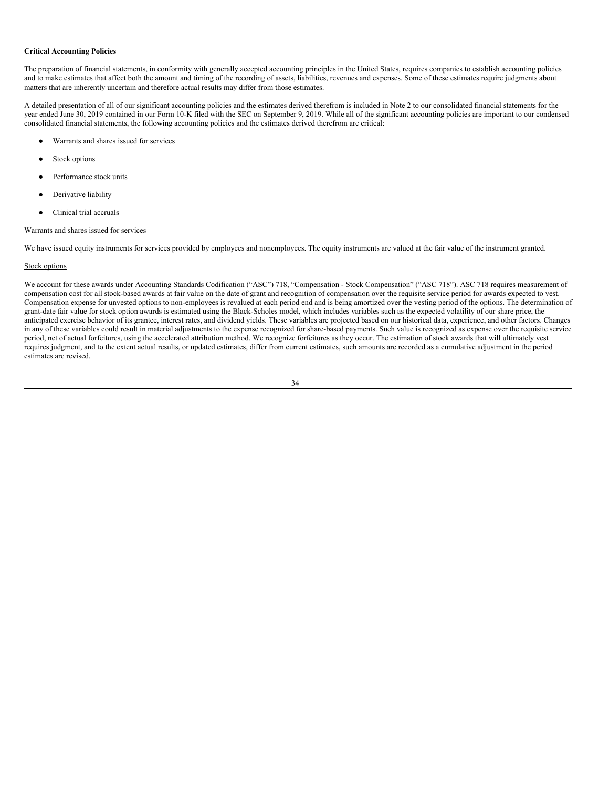#### **Critical Accounting Policies**

The preparation of financial statements, in conformity with generally accepted accounting principles in the United States, requires companies to establish accounting policies and to make estimates that affect both the amount and timing of the recording of assets, liabilities, revenues and expenses. Some of these estimates require judgments about matters that are inherently uncertain and therefore actual results may differ from those estimates.

A detailed presentation of all of our significant accounting policies and the estimates derived therefrom is included in Note 2 to our consolidated financial statements for the year ended June 30, 2019 contained in our Form 10-K filed with the SEC on September 9, 2019. While all of the significant accounting policies are important to our condensed consolidated financial statements, the following accounting policies and the estimates derived therefrom are critical:

- Warrants and shares issued for services
- Stock options
- Performance stock units
- Derivative liability
- Clinical trial accruals

#### Warrants and shares issued for services

We have issued equity instruments for services provided by employees and nonemployees. The equity instruments are valued at the fair value of the instrument granted.

#### Stock options

We account for these awards under Accounting Standards Codification ("ASC") 718, "Compensation - Stock Compensation" ("ASC 718"). ASC 718 requires measurement of compensation cost for all stock-based awards at fair value on the date of grant and recognition of compensation over the requisite service period for awards expected to vest. Compensation expense for unvested options to non-employees is revalued at each period end and is being amortized over the vesting period of the options. The determination of grant-date fair value for stock option awards is estimated using the Black-Scholes model, which includes variables such as the expected volatility of our share price, the anticipated exercise behavior of its grantee, interest rates, and dividend yields. These variables are projected based on our historical data, experience, and other factors. Changes in any of these variables could result in material adjustments to the expense recognized for share-based payments. Such value is recognized as expense over the requisite service period, net of actual forfeitures, using the accelerated attribution method. We recognize forfeitures as they occur. The estimation of stock awards that will ultimately vest requires judgment, and to the extent actual results, or updated estimates, differ from current estimates, such amounts are recorded as a cumulative adjustment in the period estimates are revised.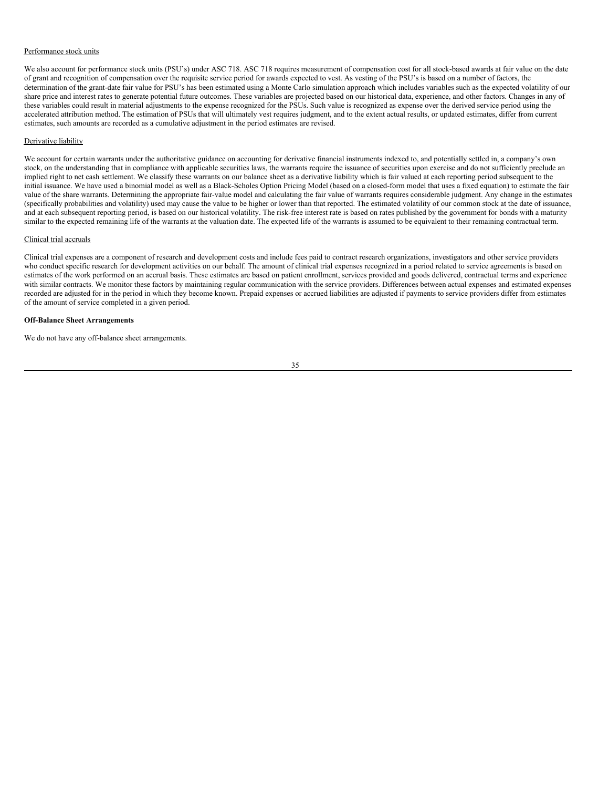#### Performance stock units

We also account for performance stock units (PSU's) under ASC 718. ASC 718 requires measurement of compensation cost for all stock-based awards at fair value on the date of grant and recognition of compensation over the requisite service period for awards expected to vest. As vesting of the PSU's is based on a number of factors, the determination of the grant-date fair value for PSU's has been estimated using a Monte Carlo simulation approach which includes variables such as the expected volatility of our share price and interest rates to generate potential future outcomes. These variables are projected based on our historical data, experience, and other factors. Changes in any of these variables could result in material adjustments to the expense recognized for the PSUs. Such value is recognized as expense over the derived service period using the accelerated attribution method. The estimation of PSUs that will ultimately vest requires judgment, and to the extent actual results, or updated estimates, differ from current estimates, such amounts are recorded as a cumulative adjustment in the period estimates are revised.

#### Derivative liability

We account for certain warrants under the authoritative guidance on accounting for derivative financial instruments indexed to, and potentially settled in, a company's own stock, on the understanding that in compliance with applicable securities laws, the warrants require the issuance of securities upon exercise and do not sufficiently preclude an implied right to net cash settlement. We classify these warrants on our balance sheet as a derivative liability which is fair valued at each reporting period subsequent to the initial issuance. We have used a binomial model as well as a Black-Scholes Option Pricing Model (based on a closed-form model that uses a fixed equation) to estimate the fair value of the share warrants. Determining the appropriate fair-value model and calculating the fair value of warrants requires considerable judgment. Any change in the estimates (specifically probabilities and volatility) used may cause the value to be higher or lower than that reported. The estimated volatility of our common stock at the date of issuance, and at each subsequent reporting period, is based on our historical volatility. The risk-free interest rate is based on rates published by the government for bonds with a maturity similar to the expected remaining life of the warrants at the valuation date. The expected life of the warrants is assumed to be equivalent to their remaining contractual term.

## Clinical trial accruals

Clinical trial expenses are a component of research and development costs and include fees paid to contract research organizations, investigators and other service providers who conduct specific research for development activities on our behalf. The amount of clinical trial expenses recognized in a period related to service agreements is based on estimates of the work performed on an accrual basis. These estimates are based on patient enrollment, services provided and goods delivered, contractual terms and experience with similar contracts. We monitor these factors by maintaining regular communication with the service providers. Differences between actual expenses and estimated expenses recorded are adjusted for in the period in which they become known. Prepaid expenses or accrued liabilities are adjusted if payments to service providers differ from estimates of the amount of service completed in a given period.

#### **Off-Balance Sheet Arrangements**

We do not have any off-balance sheet arrangements.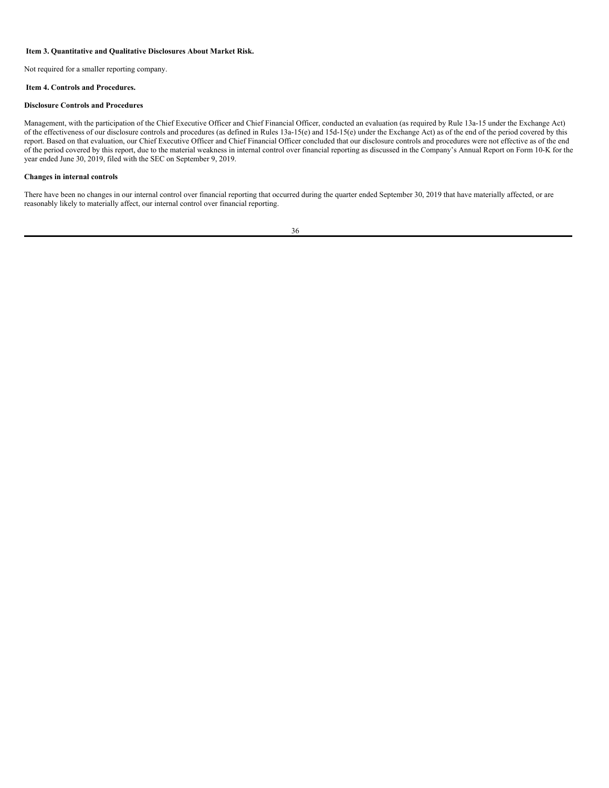## <span id="page-37-0"></span>**Item 3. Quantitative and Qualitative Disclosures About Market Risk.**

Not required for a smaller reporting company.

## <span id="page-37-1"></span>**Item 4. Controls and Procedures.**

#### **Disclosure Controls and Procedures**

Management, with the participation of the Chief Executive Officer and Chief Financial Officer, conducted an evaluation (as required by Rule 13a-15 under the Exchange Act) of the effectiveness of our disclosure controls and procedures (as defined in Rules 13a-15(e) and 15d-15(e) under the Exchange Act) as of the end of the period covered by this report. Based on that evaluation, our Chief Executive Officer and Chief Financial Officer concluded that our disclosure controls and procedures were not effective as of the end of the period covered by this report, due to the material weakness in internal control over financial reporting as discussed in the Company's Annual Report on Form 10-K for the year ended June 30, 2019, filed with the SEC on September 9, 2019.

### **Changes in internal controls**

There have been no changes in our internal control over financial reporting that occurred during the quarter ended September 30, 2019 that have materially affected, or are reasonably likely to materially affect, our internal control over financial reporting.

| I<br>I<br>i | i<br>I<br>×<br>٧ |  |
|-------------|------------------|--|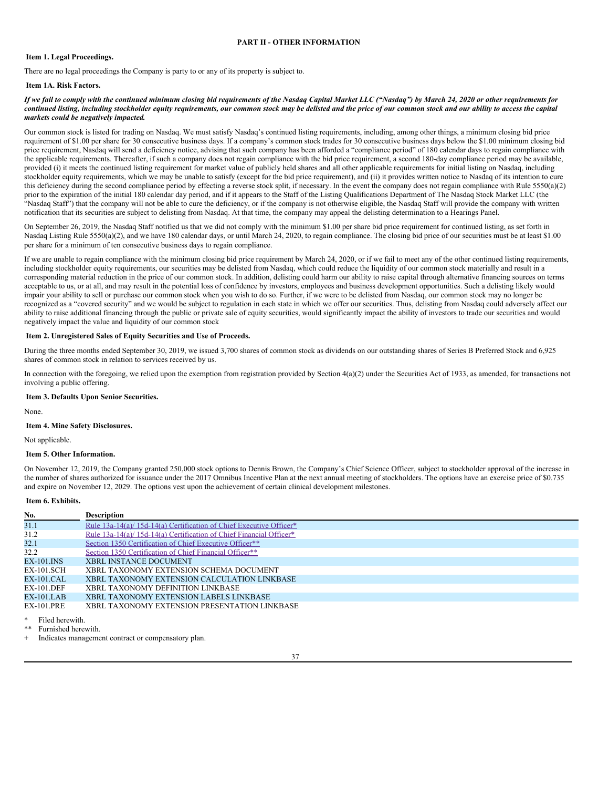## **PART II - OTHER INFORMATION**

#### <span id="page-38-0"></span>**Item 1. Legal Proceedings.**

There are no legal proceedings the Company is party to or any of its property is subject to.

#### <span id="page-38-1"></span>**Item 1A. Risk Factors.**

#### If we fail to comply with the continued minimum closing bid requirements of the Nasdaq Capital Market LLC ("Nasdaq") by March 24, 2020 or other requirements for continued listing, including stockholder equity requirements, our common stock may be delisted and the price of our common stock and our ability to access the capital *markets could be negatively impacted.*

Our common stock is listed for trading on Nasdaq. We must satisfy Nasdaq's continued listing requirements, including, among other things, a minimum closing bid price requirement of \$1.00 per share for 30 consecutive business days. If a company's common stock trades for 30 consecutive business days below the \$1.00 minimum closing bid price requirement, Nasdaq will send a deficiency notice, advising that such company has been afforded a "compliance period" of 180 calendar days to regain compliance with the applicable requirements. Thereafter, if such a company does not regain compliance with the bid price requirement, a second 180-day compliance period may be available, provided (i) it meets the continued listing requirement for market value of publicly held shares and all other applicable requirements for initial listing on Nasdaq, including stockholder equity requirements, which we may be unable to satisfy (except for the bid price requirement), and (ii) it provides written notice to Nasdaq of its intention to cure this deficiency during the second compliance period by effecting a reverse stock split, if necessary. In the event the company does not regain compliance with Rule 5550(a)(2) prior to the expiration of the initial 180 calendar day period, and if it appears to the Staff of the Listing Qualifications Department of The Nasdaq Stock Market LLC (the "Nasdaq Staff") that the company will not be able to cure the deficiency, or if the company is not otherwise eligible, the Nasdaq Staff will provide the company with written notification that its securities are subject to delisting from Nasdaq. At that time, the company may appeal the delisting determination to a Hearings Panel.

On September 26, 2019, the Nasdaq Staff notified us that we did not comply with the minimum \$1.00 per share bid price requirement for continued listing, as set forth in Nasdaq Listing Rule 5550(a)(2), and we have 180 calendar days, or until March 24, 2020, to regain compliance. The closing bid price of our securities must be at least \$1.00 per share for a minimum of ten consecutive business days to regain compliance.

If we are unable to regain compliance with the minimum closing bid price requirement by March 24, 2020, or if we fail to meet any of the other continued listing requirements, including stockholder equity requirements, our securities may be delisted from Nasdaq, which could reduce the liquidity of our common stock materially and result in a corresponding material reduction in the price of our common stock. In addition, delisting could harm our ability to raise capital through alternative financing sources on terms acceptable to us, or at all, and may result in the potential loss of confidence by investors, employees and business development opportunities. Such a delisting likely would impair your ability to sell or purchase our common stock when you wish to do so. Further, if we were to be delisted from Nasdaq, our common stock may no longer be recognized as a "covered security" and we would be subject to regulation in each state in which we offer our securities. Thus, delisting from Nasdaq could adversely affect our ability to raise additional financing through the public or private sale of equity securities, would significantly impact the ability of investors to trade our securities and would negatively impact the value and liquidity of our common stock

## <span id="page-38-2"></span>**Item 2. Unregistered Sales of Equity Securities and Use of Proceeds.**

During the three months ended September 30, 2019, we issued 3,700 shares of common stock as dividends on our outstanding shares of Series B Preferred Stock and 6,925 shares of common stock in relation to services received by us.

In connection with the foregoing, we relied upon the exemption from registration provided by Section 4(a)(2) under the Securities Act of 1933, as amended, for transactions not involving a public offering.

#### <span id="page-38-3"></span>**Item 3. Defaults Upon Senior Securities.**

None.

## <span id="page-38-4"></span>**Item 4. Mine Safety Disclosures.**

Not applicable.

## <span id="page-38-5"></span>**Item 5. Other Information.**

On November 12, 2019, the Company granted 250,000 stock options to Dennis Brown, the Company's Chief Science Officer, subject to stockholder approval of the increase in the number of shares authorized for issuance under the 2017 Omnibus Incentive Plan at the next annual meeting of stockholders. The options have an exercise price of \$0.735 and expire on November 12, 2029. The options vest upon the achievement of certain clinical development milestones.

#### <span id="page-38-6"></span>**Item 6. Exhibits.**

| No.               | <b>Description</b>                                                  |
|-------------------|---------------------------------------------------------------------|
| 31.1              | Rule 13a-14(a)/ 15d-14(a) Certification of Chief Executive Officer* |
| 31.2              | Rule 13a-14(a)/ 15d-14(a) Certification of Chief Financial Officer* |
| 32.1              | Section 1350 Certification of Chief Executive Officer <sup>**</sup> |
| 32.2              | Section 1350 Certification of Chief Financial Officer**             |
| <b>EX-101.INS</b> | <b>XBRL INSTANCE DOCUMENT</b>                                       |
| <b>EX-101.SCH</b> | XBRL TAXONOMY EXTENSION SCHEMA DOCUMENT                             |
| $EX-101.CAL$      | XBRL TAXONOMY EXTENSION CALCULATION LINKBASE                        |
| <b>EX-101.DEF</b> | XBRL TAXONOMY DEFINITION LINKBASE                                   |
| <b>EX-101.LAB</b> | XBRL TAXONOMY EXTENSION LABELS LINKBASE                             |
| <b>EX-101.PRE</b> | XBRL TAXONOMY EXTENSION PRESENTATION LINKBASE                       |

Filed herewith.

Furnished herewith.

Indicates management contract or compensatory plan.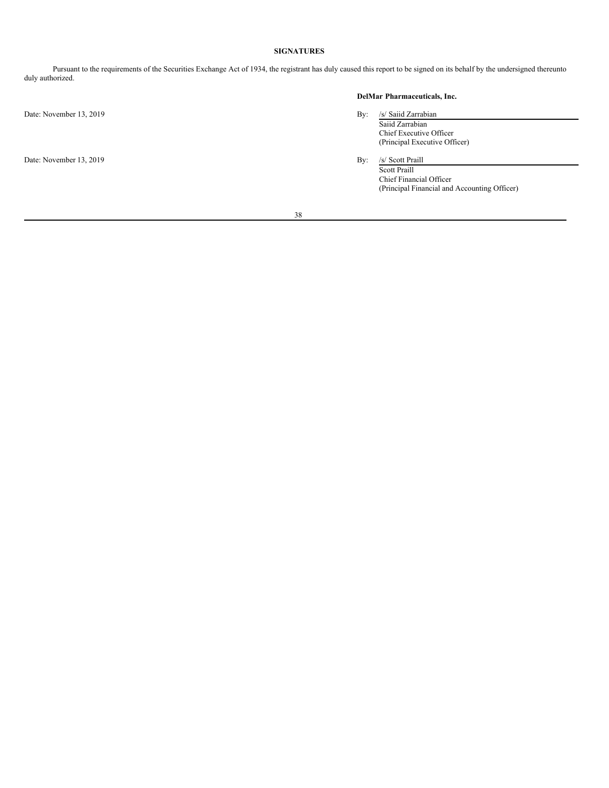## **SIGNATURES**

Pursuant to the requirements of the Securities Exchange Act of 1934, the registrant has duly caused this report to be signed on its behalf by the undersigned thereunto duly authorized.

Date: November 13, 2019 By: /s/ Saiid Zarrabian

Date: November 13, 2019 By: /s/ Scott Praill

# **DelMar Pharmaceuticals, Inc.**

- Saiid Zarrabian Chief Executive Officer (Principal Executive Officer)
- Scott Praill

Chief Financial Officer (Principal Financial and Accounting Officer)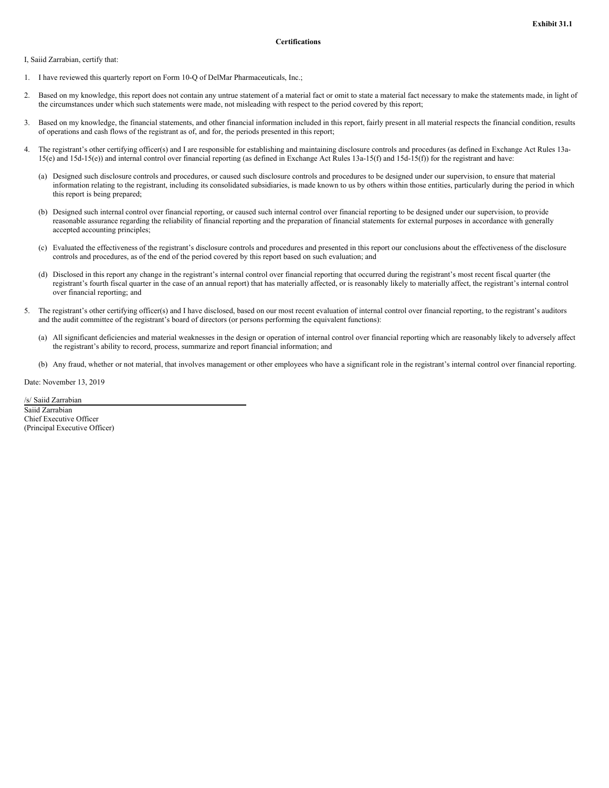<span id="page-40-0"></span>I, Saiid Zarrabian, certify that:

- 1. I have reviewed this quarterly report on Form 10-Q of DelMar Pharmaceuticals, Inc.;
- 2. Based on my knowledge, this report does not contain any untrue statement of a material fact or omit to state a material fact necessary to make the statements made, in light of the circumstances under which such statements were made, not misleading with respect to the period covered by this report;
- 3. Based on my knowledge, the financial statements, and other financial information included in this report, fairly present in all material respects the financial condition, results of operations and cash flows of the registrant as of, and for, the periods presented in this report;
- The registrant's other certifying officer(s) and I are responsible for establishing and maintaining disclosure controls and procedures (as defined in Exchange Act Rules 13a-15(e) and 15d-15(e)) and internal control over financial reporting (as defined in Exchange Act Rules 13a-15(f) and 15d-15(f)) for the registrant and have:
	- (a) Designed such disclosure controls and procedures, or caused such disclosure controls and procedures to be designed under our supervision, to ensure that material information relating to the registrant, including its consolidated subsidiaries, is made known to us by others within those entities, particularly during the period in which this report is being prepared;
	- (b) Designed such internal control over financial reporting, or caused such internal control over financial reporting to be designed under our supervision, to provide reasonable assurance regarding the reliability of financial reporting and the preparation of financial statements for external purposes in accordance with generally accepted accounting principles;
	- (c) Evaluated the effectiveness of the registrant's disclosure controls and procedures and presented in this report our conclusions about the effectiveness of the disclosure controls and procedures, as of the end of the period covered by this report based on such evaluation; and
	- (d) Disclosed in this report any change in the registrant's internal control over financial reporting that occurred during the registrant's most recent fiscal quarter (the registrant's fourth fiscal quarter in the case of an annual report) that has materially affected, or is reasonably likely to materially affect, the registrant's internal control over financial reporting; and
- 5. The registrant's other certifying officer(s) and I have disclosed, based on our most recent evaluation of internal control over financial reporting, to the registrant's auditors and the audit committee of the registrant's board of directors (or persons performing the equivalent functions):
	- (a) All significant deficiencies and material weaknesses in the design or operation of internal control over financial reporting which are reasonably likely to adversely affect the registrant's ability to record, process, summarize and report financial information; and
	- (b) Any fraud, whether or not material, that involves management or other employees who have a significant role in the registrant's internal control over financial reporting.

Date: November 13, 2019

/s/ Saiid Zarrabian

Saiid Zarrabian Chief Executive Officer (Principal Executive Officer)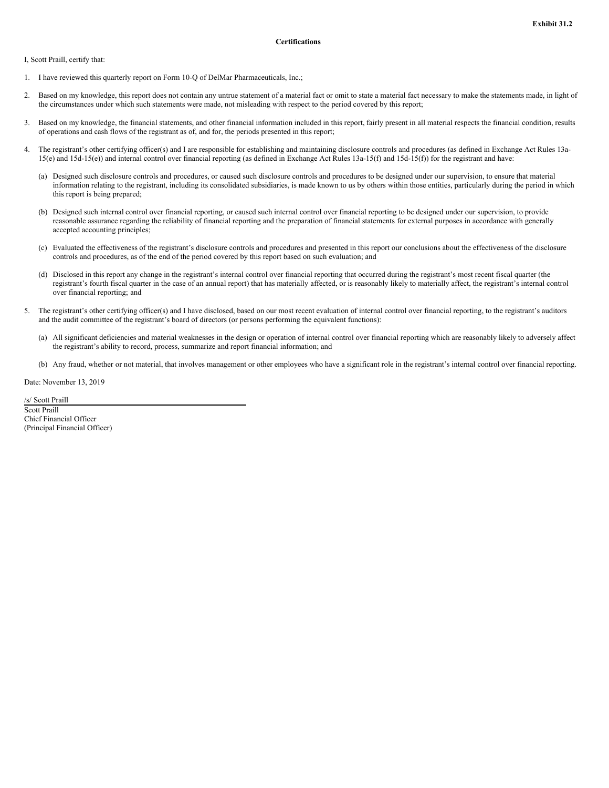<span id="page-41-0"></span>I, Scott Praill, certify that:

- 1. I have reviewed this quarterly report on Form 10-Q of DelMar Pharmaceuticals, Inc.;
- 2. Based on my knowledge, this report does not contain any untrue statement of a material fact or omit to state a material fact necessary to make the statements made, in light of the circumstances under which such statements were made, not misleading with respect to the period covered by this report;
- 3. Based on my knowledge, the financial statements, and other financial information included in this report, fairly present in all material respects the financial condition, results of operations and cash flows of the registrant as of, and for, the periods presented in this report;
- The registrant's other certifying officer(s) and I are responsible for establishing and maintaining disclosure controls and procedures (as defined in Exchange Act Rules 13a-15(e) and 15d-15(e)) and internal control over financial reporting (as defined in Exchange Act Rules 13a-15(f) and 15d-15(f)) for the registrant and have:
	- (a) Designed such disclosure controls and procedures, or caused such disclosure controls and procedures to be designed under our supervision, to ensure that material information relating to the registrant, including its consolidated subsidiaries, is made known to us by others within those entities, particularly during the period in which this report is being prepared;
	- (b) Designed such internal control over financial reporting, or caused such internal control over financial reporting to be designed under our supervision, to provide reasonable assurance regarding the reliability of financial reporting and the preparation of financial statements for external purposes in accordance with generally accepted accounting principles;
	- (c) Evaluated the effectiveness of the registrant's disclosure controls and procedures and presented in this report our conclusions about the effectiveness of the disclosure controls and procedures, as of the end of the period covered by this report based on such evaluation; and
	- (d) Disclosed in this report any change in the registrant's internal control over financial reporting that occurred during the registrant's most recent fiscal quarter (the registrant's fourth fiscal quarter in the case of an annual report) that has materially affected, or is reasonably likely to materially affect, the registrant's internal control over financial reporting; and
- 5. The registrant's other certifying officer(s) and I have disclosed, based on our most recent evaluation of internal control over financial reporting, to the registrant's auditors and the audit committee of the registrant's board of directors (or persons performing the equivalent functions):
	- (a) All significant deficiencies and material weaknesses in the design or operation of internal control over financial reporting which are reasonably likely to adversely affect the registrant's ability to record, process, summarize and report financial information; and
	- (b) Any fraud, whether or not material, that involves management or other employees who have a significant role in the registrant's internal control over financial reporting.

Date: November 13, 2019

/s/ Scott Praill Scott Praill

Chief Financial Officer (Principal Financial Officer)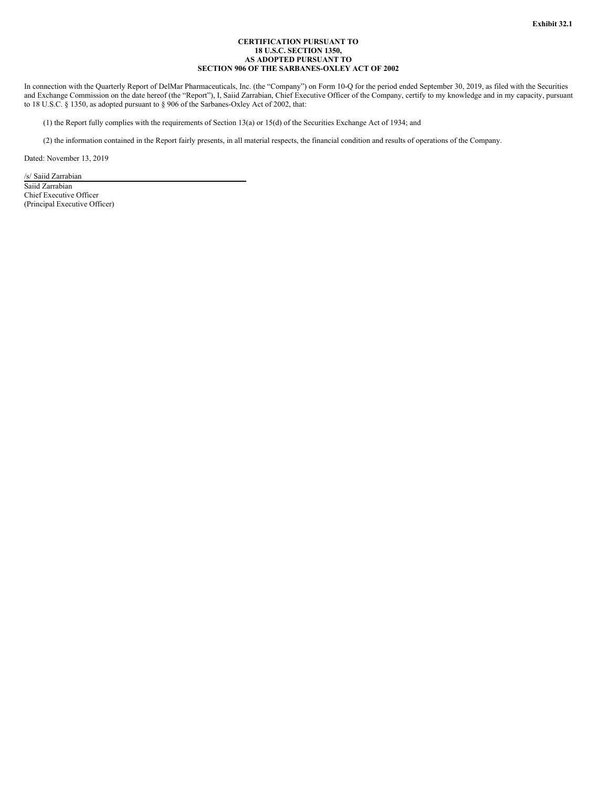### **CERTIFICATION PURSUANT TO 18 U.S.C. SECTION 1350, AS ADOPTED PURSUANT TO SECTION 906 OF THE SARBANES-OXLEY ACT OF 2002**

<span id="page-42-0"></span>In connection with the Quarterly Report of DelMar Pharmaceuticals, Inc. (the "Company") on Form 10-Q for the period ended September 30, 2019, as filed with the Securities and Exchange Commission on the date hereof (the "Report"), I, Saiid Zarrabian, Chief Executive Officer of the Company, certify to my knowledge and in my capacity, pursuant to 18 U.S.C. § 1350, as adopted pursuant to § 906 of the Sarbanes-Oxley Act of 2002, that:

(1) the Report fully complies with the requirements of Section 13(a) or 15(d) of the Securities Exchange Act of 1934; and

(2) the information contained in the Report fairly presents, in all material respects, the financial condition and results of operations of the Company.

Dated: November 13, 2019

/s/ Saiid Zarrabian Saiid Zarrabian Chief Executive Officer (Principal Executive Officer)